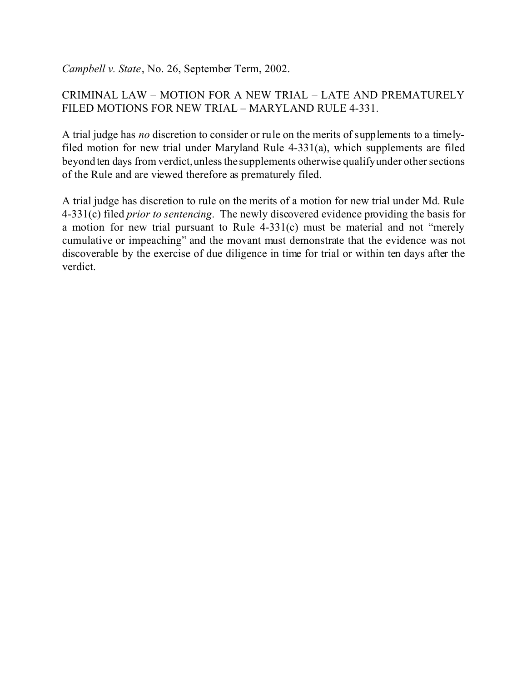*Campbell v. State*, No. 26, September Term, 2002.

# CRIMINAL LAW – MOTION FOR A NEW TRIAL – LATE AND PREMATURELY FILED MOTIONS FOR NEW TRIAL – MARYLAND RULE 4-331.

A trial judge has *no* discretion to consider or rule on the merits of supplements to a timelyfiled motion for new trial under Maryland Rule 4-331(a), which supplements are filed beyond ten days from verdict, unless the supplements otherwise qualify under other sections of the Rule and are viewed therefore as prematurely filed.

A trial judge has discretion to rule on the merits of a motion for new trial under Md. Rule 4-331(c) filed *prior to sentencing*. The newly discovered evidence providing the basis for a motion for new trial pursuant to Rule 4-331(c) must be material and not "merely cumulative or impeaching" and the movant must demonstrate that the evidence was not discoverable by the exercise of due diligence in time for trial or within ten days after the verdict.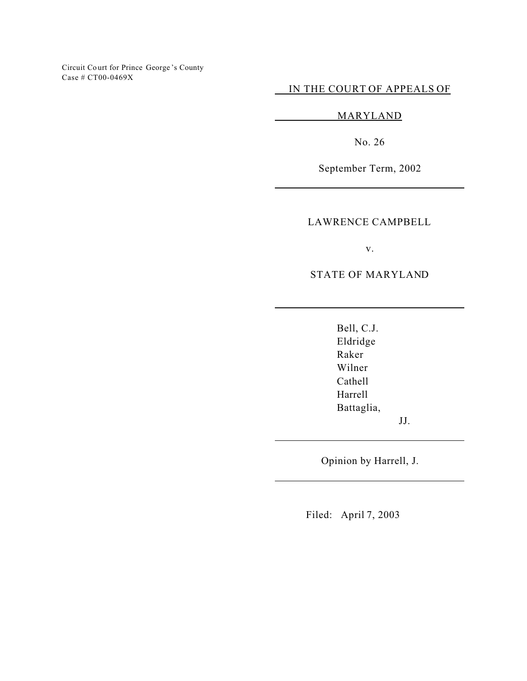Circuit Co urt for Prince George 's County Case # CT00-0469X

IN THE COURT OF APPEALS OF

MARYLAND

No. 26

September Term, 2002

LAWRENCE CAMPBELL

v.

STATE OF MARYLAND

Bell, C.J. Eldridge Raker Wilner Cathell Harrell Battaglia,

JJ.

Opinion by Harrell, J.

Filed: April 7, 2003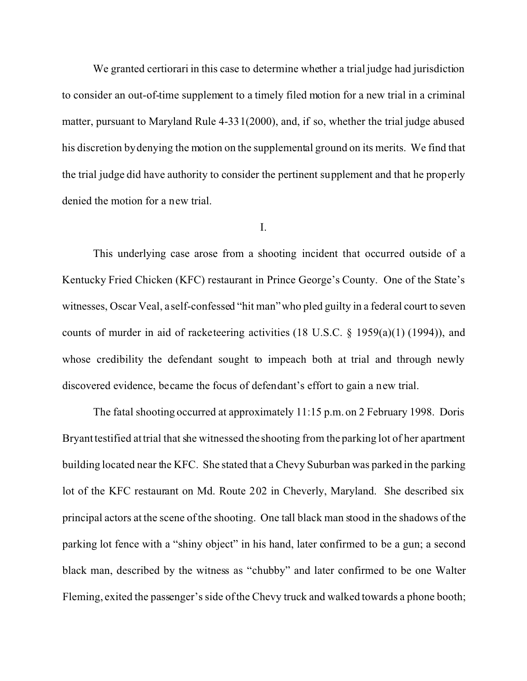We granted certiorari in this case to determine whether a trial judge had jurisdiction to consider an out-of-time supplement to a timely filed motion for a new trial in a criminal matter, pursuant to Maryland Rule 4-331(2000), and, if so, whether the trial judge abused his discretion by denying the motion on the supplemental ground on its merits. We find that the trial judge did have authority to consider the pertinent supplement and that he properly denied the motion for a new trial.

I.

This underlying case arose from a shooting incident that occurred outside of a Kentucky Fried Chicken (KFC) restaurant in Prince George's County. One of the State's witnesses, Oscar Veal, a self-confessed "hit man" who pled guilty in a federal court to seven counts of murder in aid of racketeering activities (18 U.S.C. § 1959(a)(1) (1994)), and whose credibility the defendant sought to impeach both at trial and through newly discovered evidence, became the focus of defendant's effort to gain a new trial.

The fatal shooting occurred at approximately 11:15 p.m. on 2 February 1998. Doris Bryant testified at trial that she witnessed the shooting from the parking lot of her apartment building located near the KFC. She stated that a Chevy Suburban was parked in the parking lot of the KFC restaurant on Md. Route 202 in Cheverly, Maryland. She described six principal actors at the scene of the shooting. One tall black man stood in the shadows of the parking lot fence with a "shiny object" in his hand, later confirmed to be a gun; a second black man, described by the witness as "chubby" and later confirmed to be one Walter Fleming, exited the passenger's side of the Chevy truck and walked towards a phone booth;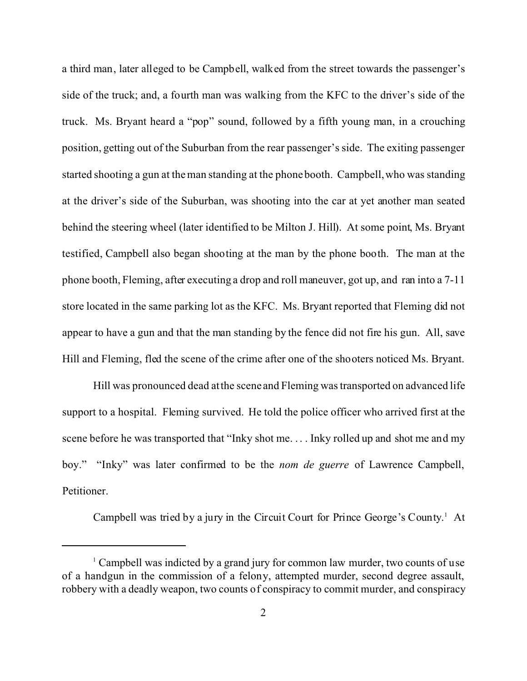a third man, later alleged to be Campbell, walked from the street towards the passenger's side of the truck; and, a fourth man was walking from the KFC to the driver's side of the truck. Ms. Bryant heard a "pop" sound, followed by a fifth young man, in a crouching position, getting out of the Suburban from the rear passenger's side. The exiting passenger started shooting a gun at the man standing at the phone booth. Campbell, who was standing at the driver's side of the Suburban, was shooting into the car at yet another man seated behind the steering wheel (later identified to be Milton J. Hill). At some point, Ms. Bryant testified, Campbell also began shooting at the man by the phone booth. The man at the phone booth, Fleming, after executing a drop and roll maneuver, got up, and ran into a 7-11 store located in the same parking lot as the KFC. Ms. Bryant reported that Fleming did not appear to have a gun and that the man standing by the fence did not fire his gun. All, save Hill and Fleming, fled the scene of the crime after one of the shooters noticed Ms. Bryant.

Hill was pronounced dead at the scene and Fleming was transported on advanced life support to a hospital. Fleming survived. He told the police officer who arrived first at the scene before he was transported that "Inky shot me. . . . Inky rolled up and shot me and my boy." "Inky" was later confirmed to be the *nom de guerre* of Lawrence Campbell, Petitioner.

Campbell was tried by a jury in the Circuit Court for Prince George's County.<sup>1</sup> At

<sup>&</sup>lt;sup>1</sup> Campbell was indicted by a grand jury for common law murder, two counts of use of a handgun in the commission of a felony, attempted murder, second degree assault, robbery with a deadly weapon, two counts of conspiracy to commit murder, and conspiracy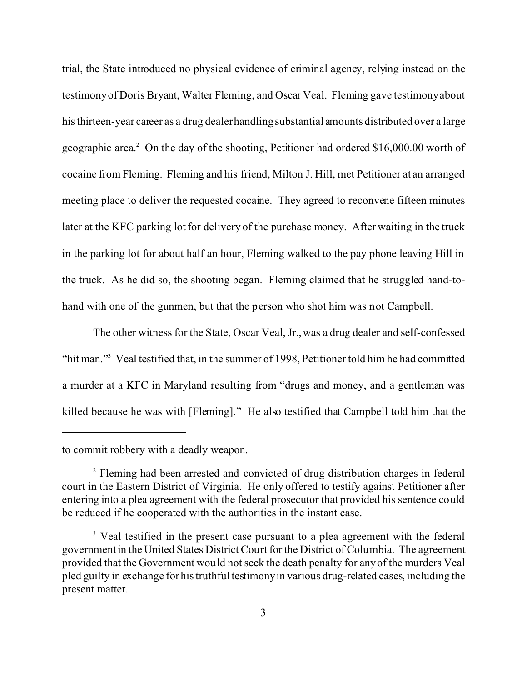trial, the State introduced no physical evidence of criminal agency, relying instead on the testimony of Doris Bryant, Walter Fleming, and Oscar Veal. Fleming gave testimony about his thirteen-year career as a drug dealer handling substantial amounts distributed over a large geographic area.<sup>2</sup> On the day of the shooting, Petitioner had ordered \$16,000.00 worth of cocaine from Fleming. Fleming and his friend, Milton J. Hill, met Petitioner at an arranged meeting place to deliver the requested cocaine. They agreed to reconvene fifteen minutes later at the KFC parking lot for delivery of the purchase money. After waiting in the truck in the parking lot for about half an hour, Fleming walked to the pay phone leaving Hill in the truck. As he did so, the shooting began. Fleming claimed that he struggled hand-tohand with one of the gunmen, but that the person who shot him was not Campbell.

The other witness for the State, Oscar Veal, Jr., was a drug dealer and self-confessed "hit man."<sup>3</sup> Veal testified that, in the summer of 1998, Petitioner told him he had committed a murder at a KFC in Maryland resulting from "drugs and money, and a gentleman was killed because he was with [Fleming]." He also testified that Campbell told him that the

to commit robbery with a deadly weapon.

<sup>&</sup>lt;sup>2</sup> Fleming had been arrested and convicted of drug distribution charges in federal court in the Eastern District of Virginia. He only offered to testify against Petitioner after entering into a plea agreement with the federal prosecutor that provided his sentence could be reduced if he cooperated with the authorities in the instant case.

<sup>&</sup>lt;sup>3</sup> Veal testified in the present case pursuant to a plea agreement with the federal government in the United States District Court for the District of Columbia. The agreement provided that the Government would not seek the death penalty for any of the murders Veal pled guilty in exchange for his truthful testimony in various drug-related cases, including the present matter.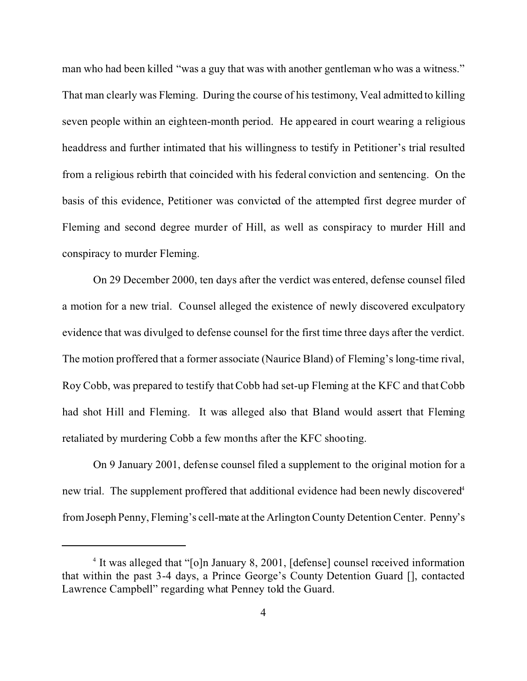man who had been killed "was a guy that was with another gentleman who was a witness." That man clearly was Fleming. During the course of his testimony, Veal admitted to killing seven people within an eighteen-month period. He appeared in court wearing a religious headdress and further intimated that his willingness to testify in Petitioner's trial resulted from a religious rebirth that coincided with his federal conviction and sentencing. On the basis of this evidence, Petitioner was convicted of the attempted first degree murder of Fleming and second degree murder of Hill, as well as conspiracy to murder Hill and conspiracy to murder Fleming.

On 29 December 2000, ten days after the verdict was entered, defense counsel filed a motion for a new trial. Counsel alleged the existence of newly discovered exculpatory evidence that was divulged to defense counsel for the first time three days after the verdict. The motion proffered that a former associate (Naurice Bland) of Fleming's long-time rival, Roy Cobb, was prepared to testify that Cobb had set-up Fleming at the KFC and that Cobb had shot Hill and Fleming. It was alleged also that Bland would assert that Fleming retaliated by murdering Cobb a few months after the KFC shooting.

On 9 January 2001, defense counsel filed a supplement to the original motion for a new trial. The supplement proffered that additional evidence had been newly discovered<sup>4</sup> from Joseph Penny, Fleming's cell-mate at the Arlington County Detention Center. Penny's

<sup>&</sup>lt;sup>4</sup> It was alleged that "[o]n January 8, 2001, [defense] counsel received information that within the past 3-4 days, a Prince George's County Detention Guard [], contacted Lawrence Campbell" regarding what Penney told the Guard.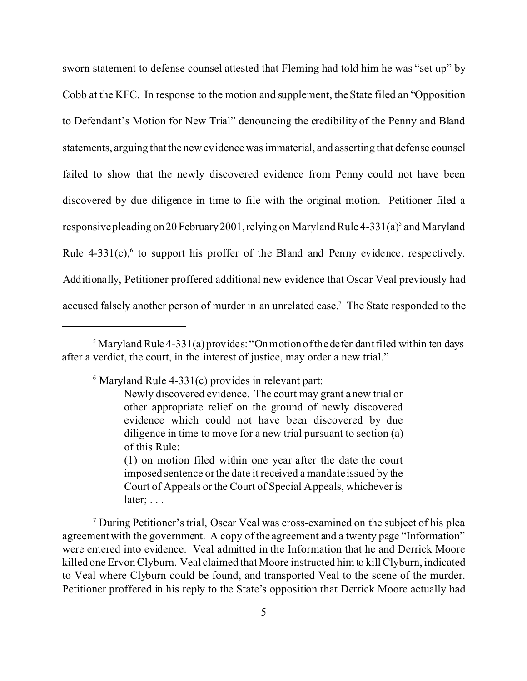sworn statement to defense counsel attested that Fleming had told him he was "set up" by Cobb at the KFC. In response to the motion and supplement, the State filed an "Opposition to Defendant's Motion for New Trial" denouncing the credibility of the Penny and Bland statements, arguing that the new evidence was immaterial, and asserting that defense counsel failed to show that the newly discovered evidence from Penny could not have been discovered by due diligence in time to file with the original motion. Petitioner filed a responsive pleading on 20 February 2001, relying on Maryland Rule 4-331(a)<sup>5</sup> and Maryland Rule  $4-331(c)$ , to support his proffer of the Bland and Penny evidence, respectively. Additionally, Petitioner proffered additional new evidence that Oscar Veal previously had accused falsely another person of murder in an unrelated case.<sup>7</sup> The State responded to the

 $6$  Maryland Rule 4-331(c) provides in relevant part:

(1) on motion filed within one year after the date the court imposed sentence or the date it received a mandate issued by the Court of Appeals or the Court of Special Appeals, whichever is later; . . .

7 During Petitioner's trial, Oscar Veal was cross-examined on the subject of his plea agreement with the government. A copy of the agreement and a twenty page "Information" were entered into evidence. Veal admitted in the Information that he and Derrick Moore killed one Ervon Clyburn. Veal claimed that Moore instructed him to kill Clyburn, indicated to Veal where Clyburn could be found, and transported Veal to the scene of the murder. Petitioner proffered in his reply to the State's opposition that Derrick Moore actually had

<sup>&</sup>lt;sup>5</sup> Maryland Rule 4-331(a) provides: "On motion of the defendant filed within ten days after a verdict, the court, in the interest of justice, may order a new trial."

Newly discovered evidence. The court may grant a new trial or other appropriate relief on the ground of newly discovered evidence which could not have been discovered by due diligence in time to move for a new trial pursuant to section (a) of this Rule: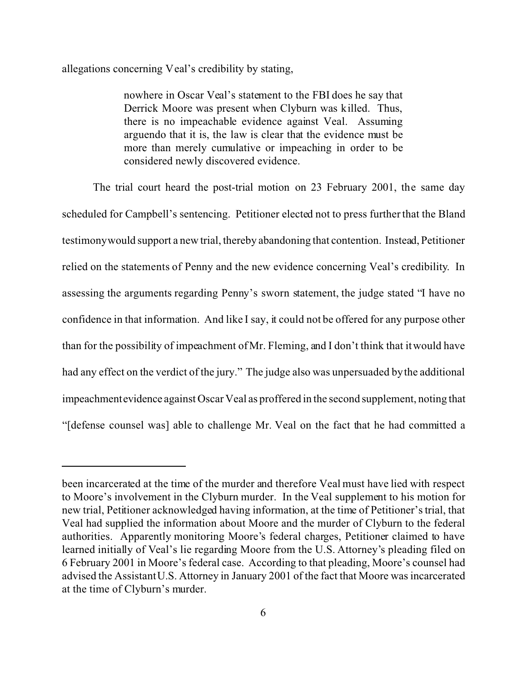allegations concerning Veal's credibility by stating,

nowhere in Oscar Veal's statement to the FBI does he say that Derrick Moore was present when Clyburn was killed. Thus, there is no impeachable evidence against Veal. Assuming arguendo that it is, the law is clear that the evidence must be more than merely cumulative or impeaching in order to be considered newly discovered evidence.

The trial court heard the post-trial motion on 23 February 2001, the same day scheduled for Campbell's sentencing. Petitioner elected not to press further that the Bland testimony would support a new trial, thereby abandoning that contention. Instead, Petitioner relied on the statements of Penny and the new evidence concerning Veal's credibility. In assessing the arguments regarding Penny's sworn statement, the judge stated "I have no confidence in that information. And like I say, it could not be offered for any purpose other than for the possibility of impeachment of Mr. Fleming, and I don't think that it would have had any effect on the verdict of the jury." The judge also was unpersuaded by the additional impeachmentevidence against Oscar Veal as proffered in the second supplement, noting that "[defense counsel was] able to challenge Mr. Veal on the fact that he had committed a

been incarcerated at the time of the murder and therefore Veal must have lied with respect to Moore's involvement in the Clyburn murder. In the Veal supplement to his motion for new trial, Petitioner acknowledged having information, at the time of Petitioner's trial, that Veal had supplied the information about Moore and the murder of Clyburn to the federal authorities. Apparently monitoring Moore's federal charges, Petitioner claimed to have learned initially of Veal's lie regarding Moore from the U.S. Attorney's pleading filed on 6 February 2001 in Moore's federal case. According to that pleading, Moore's counsel had advised the Assistant U.S. Attorney in January 2001 of the fact that Moore was incarcerated at the time of Clyburn's murder.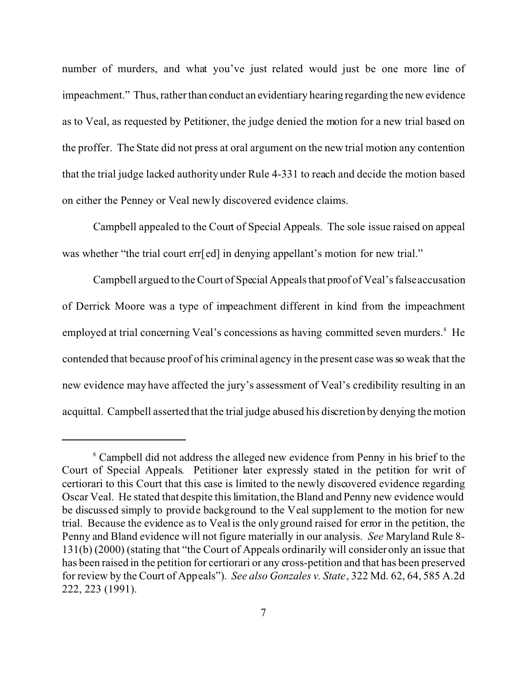number of murders, and what you've just related would just be one more line of impeachment." Thus, rather than conduct an evidentiary hearing regarding the new evidence as to Veal, as requested by Petitioner, the judge denied the motion for a new trial based on the proffer. The State did not press at oral argument on the new trial motion any contention that the trial judge lacked authority under Rule 4-331 to reach and decide the motion based on either the Penney or Veal newly discovered evidence claims.

Campbell appealed to the Court of Special Appeals. The sole issue raised on appeal was whether "the trial court err[ed] in denying appellant's motion for new trial."

Campbell argued to the Court of Special Appeals that proof of Veal's false accusation of Derrick Moore was a type of impeachment different in kind from the impeachment employed at trial concerning Veal's concessions as having committed seven murders.<sup>8</sup> He contended that because proof of his criminal agency in the present case was so weak that the new evidence may have affected the jury's assessment of Veal's credibility resulting in an acquittal. Campbell asserted that the trial judge abused his discretion by denying the motion

<sup>&</sup>lt;sup>8</sup> Campbell did not address the alleged new evidence from Penny in his brief to the Court of Special Appeals. Petitioner later expressly stated in the petition for writ of certiorari to this Court that this case is limited to the newly discovered evidence regarding Oscar Veal. He stated that despite this limitation, the Bland and Penny new evidence would be discussed simply to provide background to the Veal supplement to the motion for new trial. Because the evidence as to Veal is the only ground raised for error in the petition, the Penny and Bland evidence will not figure materially in our analysis. *See* Maryland Rule 8- 131(b) (2000) (stating that "the Court of Appeals ordinarily will consider only an issue that has been raised in the petition for certiorari or any cross-petition and that has been preserved for review by the Court of Appeals"). *See also Gonzales v. State*, 322 Md. 62, 64, 585 A.2d 222, 223 (1991).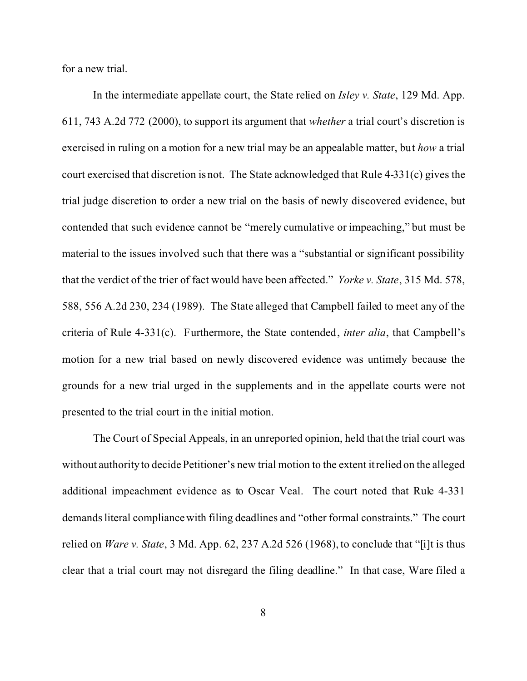for a new trial.

In the intermediate appellate court, the State relied on *Isley v. State*, 129 Md. App. 611, 743 A.2d 772 (2000), to support its argument that *whether* a trial court's discretion is exercised in ruling on a motion for a new trial may be an appealable matter, but *how* a trial court exercised that discretion is not. The State acknowledged that Rule 4-331(c) gives the trial judge discretion to order a new trial on the basis of newly discovered evidence, but contended that such evidence cannot be "merely cumulative or impeaching," but must be material to the issues involved such that there was a "substantial or significant possibility that the verdict of the trier of fact would have been affected." *Yorke v. State*, 315 Md. 578, 588, 556 A.2d 230, 234 (1989). The State alleged that Campbell failed to meet any of the criteria of Rule 4-331(c). Furthermore, the State contended, *inter alia*, that Campbell's motion for a new trial based on newly discovered evidence was untimely because the grounds for a new trial urged in the supplements and in the appellate courts were not presented to the trial court in the initial motion.

The Court of Special Appeals, in an unreported opinion, held that the trial court was without authority to decide Petitioner's new trial motion to the extent it relied on the alleged additional impeachment evidence as to Oscar Veal. The court noted that Rule 4-331 demands literal compliance with filing deadlines and "other formal constraints." The court relied on *Ware v. State*, 3 Md. App. 62, 237 A.2d 526 (1968), to conclude that "[i]t is thus clear that a trial court may not disregard the filing deadline." In that case, Ware filed a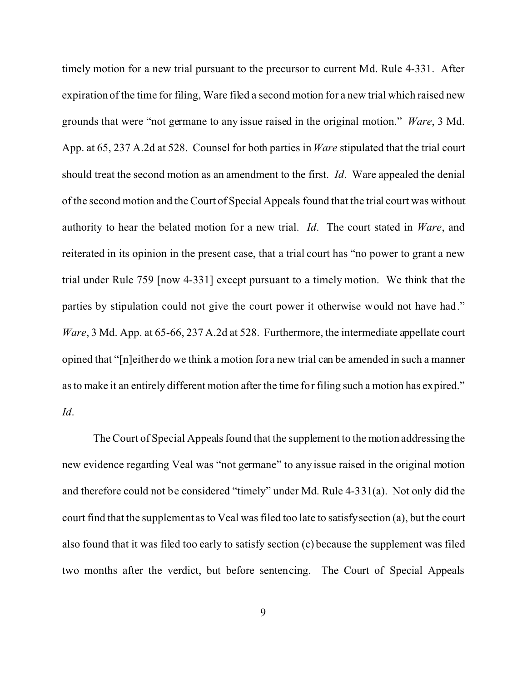timely motion for a new trial pursuant to the precursor to current Md. Rule 4-331. After expiration of the time for filing, Ware filed a second motion for a new trial which raised new grounds that were "not germane to any issue raised in the original motion." *Ware*, 3 Md. App. at 65, 237 A.2d at 528. Counsel for both parties in *Ware* stipulated that the trial court should treat the second motion as an amendment to the first. *Id*. Ware appealed the denial of the second motion and the Court of Special Appeals found that the trial court was without authority to hear the belated motion for a new trial. *Id*. The court stated in *Ware*, and reiterated in its opinion in the present case, that a trial court has "no power to grant a new trial under Rule 759 [now 4-331] except pursuant to a timely motion. We think that the parties by stipulation could not give the court power it otherwise would not have had." *Ware*, 3 Md. App. at 65-66, 237 A.2d at 528. Furthermore, the intermediate appellate court opined that "[n]either do we think a motion for a new trial can be amended in such a manner as to make it an entirely different motion after the time for filing such a motion has expired." *Id*.

The Court of Special Appeals found that the supplement to the motion addressing the new evidence regarding Veal was "not germane" to any issue raised in the original motion and therefore could not be considered "timely" under Md. Rule 4-331(a). Not only did the court find that the supplement as to Veal was filed too late to satisfy section (a), but the court also found that it was filed too early to satisfy section (c) because the supplement was filed two months after the verdict, but before sentencing. The Court of Special Appeals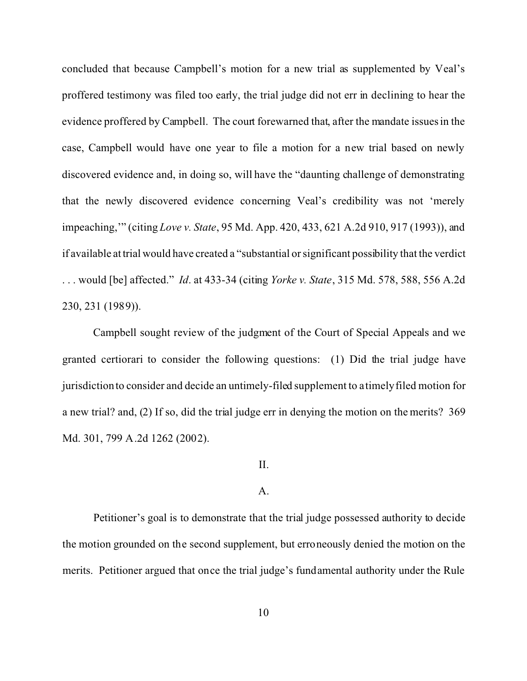concluded that because Campbell's motion for a new trial as supplemented by Veal's proffered testimony was filed too early, the trial judge did not err in declining to hear the evidence proffered by Campbell. The court forewarned that, after the mandate issues in the case, Campbell would have one year to file a motion for a new trial based on newly discovered evidence and, in doing so, will have the "daunting challenge of demonstrating that the newly discovered evidence concerning Veal's credibility was not 'merely impeaching,'" (citing *Love v. State*, 95 Md. App. 420, 433, 621 A.2d 910, 917 (1993)), and if available at trial would have created a "substantial or significant possibility that the verdict . . . would [be] affected." *Id*. at 433-34 (citing *Yorke v. State*, 315 Md. 578, 588, 556 A.2d 230, 231 (1989)).

Campbell sought review of the judgment of the Court of Special Appeals and we granted certiorari to consider the following questions: (1) Did the trial judge have jurisdiction to consider and decide an untimely-filed supplement to a timely filed motion for a new trial? and, (2) If so, did the trial judge err in denying the motion on the merits? 369 Md. 301, 799 A.2d 1262 (2002).

## II.

#### A.

Petitioner's goal is to demonstrate that the trial judge possessed authority to decide the motion grounded on the second supplement, but erroneously denied the motion on the merits. Petitioner argued that once the trial judge's fundamental authority under the Rule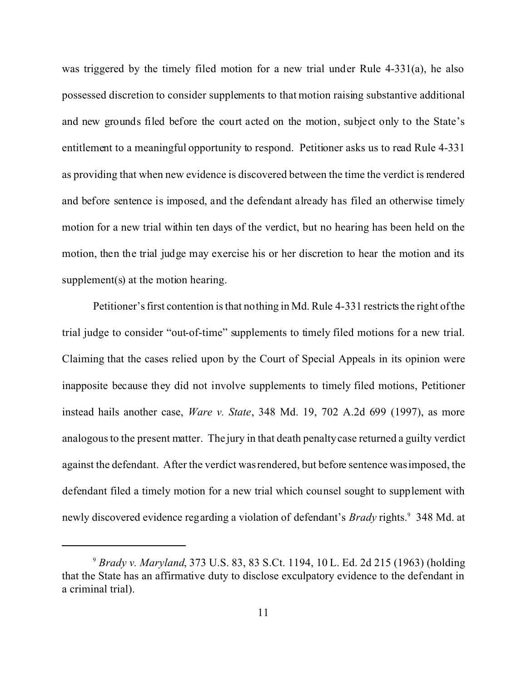was triggered by the timely filed motion for a new trial under Rule 4-331(a), he also possessed discretion to consider supplements to that motion raising substantive additional and new grounds filed before the court acted on the motion, subject only to the State's entitlement to a meaningful opportunity to respond. Petitioner asks us to read Rule 4-331 as providing that when new evidence is discovered between the time the verdict is rendered and before sentence is imposed, and the defendant already has filed an otherwise timely motion for a new trial within ten days of the verdict, but no hearing has been held on the motion, then the trial judge may exercise his or her discretion to hear the motion and its supplement(s) at the motion hearing.

Petitioner's first contention is that nothing in Md. Rule 4-331 restricts the right of the trial judge to consider "out-of-time" supplements to timely filed motions for a new trial. Claiming that the cases relied upon by the Court of Special Appeals in its opinion were inapposite because they did not involve supplements to timely filed motions, Petitioner instead hails another case, *Ware v. State*, 348 Md. 19, 702 A.2d 699 (1997), as more analogous to the present matter. The jury in that death penalty case returned a guilty verdict against the defendant. After the verdict was rendered, but before sentence was imposed, the defendant filed a timely motion for a new trial which counsel sought to supplement with newly discovered evidence regarding a violation of defendant's *Brady* rights.<sup>9</sup> 348 Md. at

<sup>9</sup> *Brady v. Maryland*, 373 U.S. 83, 83 S.Ct. 1194, 10 L. Ed. 2d 215 (1963) (holding that the State has an affirmative duty to disclose exculpatory evidence to the defendant in a criminal trial).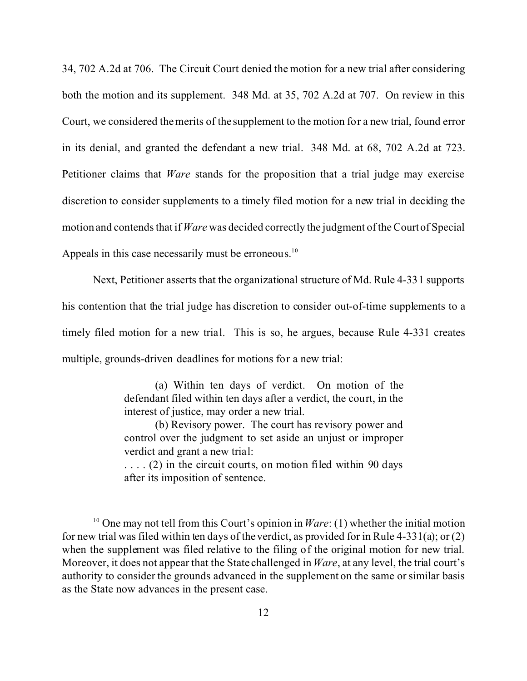34, 702 A.2d at 706. The Circuit Court denied the motion for a new trial after considering both the motion and its supplement. 348 Md. at 35, 702 A.2d at 707. On review in this Court, we considered the merits of the supplement to the motion for a new trial, found error in its denial, and granted the defendant a new trial. 348 Md. at 68, 702 A.2d at 723. Petitioner claims that *Ware* stands for the proposition that a trial judge may exercise discretion to consider supplements to a timely filed motion for a new trial in deciding the motion and contends that if *Ware* was decided correctly the judgment of the Court of Special Appeals in this case necessarily must be erroneous.<sup>10</sup>

Next, Petitioner asserts that the organizational structure of Md. Rule 4-331 supports his contention that the trial judge has discretion to consider out-of-time supplements to a timely filed motion for a new trial. This is so, he argues, because Rule 4-331 creates multiple, grounds-driven deadlines for motions for a new trial:

> (a) Within ten days of verdict. On motion of the defendant filed within ten days after a verdict, the court, in the interest of justice, may order a new trial.

> (b) Revisory power. The court has revisory power and control over the judgment to set aside an unjust or improper verdict and grant a new trial:

> $\dots$  (2) in the circuit courts, on motion filed within 90 days after its imposition of sentence.

<sup>10</sup> One may not tell from this Court's opinion in *Ware*: (1) whether the initial motion for new trial was filed within ten days of the verdict, as provided for in Rule 4-331(a); or (2) when the supplement was filed relative to the filing of the original motion for new trial. Moreover, it does not appear that the State challenged in *Ware*, at any level, the trial court's authority to consider the grounds advanced in the supplement on the same or similar basis as the State now advances in the present case.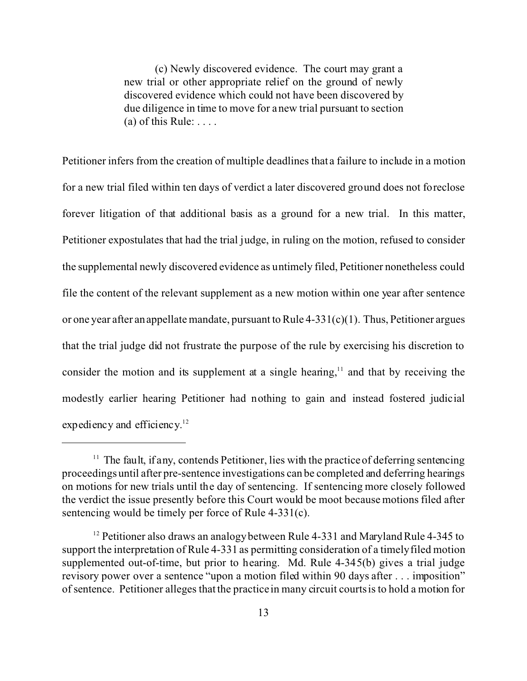(c) Newly discovered evidence. The court may grant a new trial or other appropriate relief on the ground of newly discovered evidence which could not have been discovered by due diligence in time to move for a new trial pursuant to section (a) of this Rule:  $\dots$ .

Petitioner infers from the creation of multiple deadlines that a failure to include in a motion for a new trial filed within ten days of verdict a later discovered ground does not foreclose forever litigation of that additional basis as a ground for a new trial. In this matter, Petitioner expostulates that had the trial judge, in ruling on the motion, refused to consider the supplemental newly discovered evidence as untimely filed, Petitioner nonetheless could file the content of the relevant supplement as a new motion within one year after sentence or one year after an appellate mandate, pursuant to Rule  $4-331(c)(1)$ . Thus, Petitioner argues that the trial judge did not frustrate the purpose of the rule by exercising his discretion to consider the motion and its supplement at a single hearing, $11$  and that by receiving the modestly earlier hearing Petitioner had nothing to gain and instead fostered judicial expediency and efficiency.<sup>12</sup>

 $11$  The fault, if any, contends Petitioner, lies with the practice of deferring sentencing proceedings until after pre-sentence investigations can be completed and deferring hearings on motions for new trials until the day of sentencing. If sentencing more closely followed the verdict the issue presently before this Court would be moot because motions filed after sentencing would be timely per force of Rule 4-331(c).

<sup>&</sup>lt;sup>12</sup> Petitioner also draws an analogy between Rule 4-331 and Maryland Rule 4-345 to support the interpretation of Rule 4-331 as permitting consideration of a timely filed motion supplemented out-of-time, but prior to hearing. Md. Rule 4-345(b) gives a trial judge revisory power over a sentence "upon a motion filed within 90 days after . . . imposition" of sentence. Petitioner alleges that the practice in many circuit courts is to hold a motion for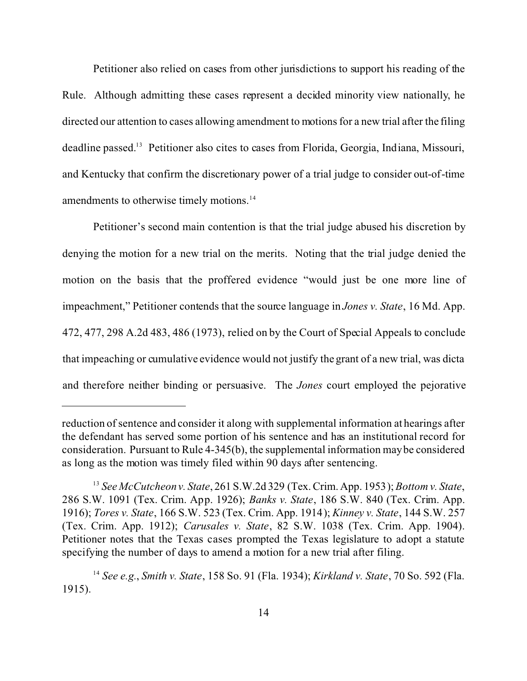Petitioner also relied on cases from other jurisdictions to support his reading of the Rule. Although admitting these cases represent a decided minority view nationally, he directed our attention to cases allowing amendment to motions for a new trial after the filing deadline passed.<sup>13</sup> Petitioner also cites to cases from Florida, Georgia, Indiana, Missouri, and Kentucky that confirm the discretionary power of a trial judge to consider out-of-time amendments to otherwise timely motions.<sup>14</sup>

Petitioner's second main contention is that the trial judge abused his discretion by denying the motion for a new trial on the merits. Noting that the trial judge denied the motion on the basis that the proffered evidence "would just be one more line of impeachment," Petitioner contends that the source language in *Jones v. State*, 16 Md. App. 472, 477, 298 A.2d 483, 486 (1973), relied on by the Court of Special Appeals to conclude that impeaching or cumulative evidence would not justify the grant of a new trial, was dicta and therefore neither binding or persuasive. The *Jones* court employed the pejorative

reduction of sentence and consider it along with supplemental information at hearings after the defendant has served some portion of his sentence and has an institutional record for consideration. Pursuant to Rule 4-345(b), the supplemental information may be considered as long as the motion was timely filed within 90 days after sentencing.

<sup>13</sup> *See McCutcheon v. State*, 261 S.W.2d 329 (Tex. Crim. App. 1953); *Bottom v. State*, 286 S.W. 1091 (Tex. Crim. App. 1926); *Banks v. State*, 186 S.W. 840 (Tex. Crim. App. 1916); *Tores v. State*, 166 S.W. 523 (Tex. Crim. App. 1914); *Kinney v. State*, 144 S.W. 257 (Tex. Crim. App. 1912); *Carusales v. State*, 82 S.W. 1038 (Tex. Crim. App. 1904). Petitioner notes that the Texas cases prompted the Texas legislature to adopt a statute specifying the number of days to amend a motion for a new trial after filing.

<sup>14</sup> *See e.g.*, *Smith v. State*, 158 So. 91 (Fla. 1934); *Kirkland v. State*, 70 So. 592 (Fla. 1915).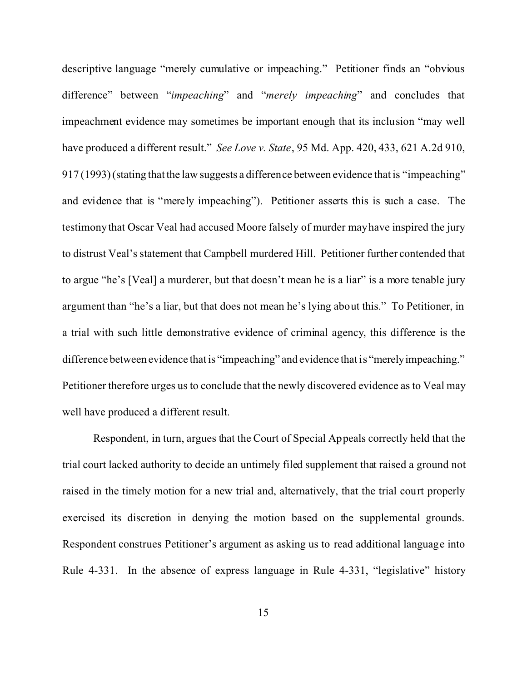descriptive language "merely cumulative or impeaching." Petitioner finds an "obvious difference" between "*impeaching*" and "*merely impeaching*" and concludes that impeachment evidence may sometimes be important enough that its inclusion "may well have produced a different result." *See Love v. State*, 95 Md. App. 420, 433, 621 A.2d 910, 917 (1993) (stating that the law suggests a difference between evidence that is "impeaching" and evidence that is "merely impeaching"). Petitioner asserts this is such a case. The testimony that Oscar Veal had accused Moore falsely of murder may have inspired the jury to distrust Veal's statement that Campbell murdered Hill. Petitioner further contended that to argue "he's [Veal] a murderer, but that doesn't mean he is a liar" is a more tenable jury argument than "he's a liar, but that does not mean he's lying about this." To Petitioner, in a trial with such little demonstrative evidence of criminal agency, this difference is the difference between evidence that is "impeaching" and evidence that is "merelyimpeaching." Petitioner therefore urges us to conclude that the newly discovered evidence as to Veal may well have produced a different result.

Respondent, in turn, argues that the Court of Special Appeals correctly held that the trial court lacked authority to decide an untimely filed supplement that raised a ground not raised in the timely motion for a new trial and, alternatively, that the trial court properly exercised its discretion in denying the motion based on the supplemental grounds. Respondent construes Petitioner's argument as asking us to read additional language into Rule 4-331. In the absence of express language in Rule 4-331, "legislative" history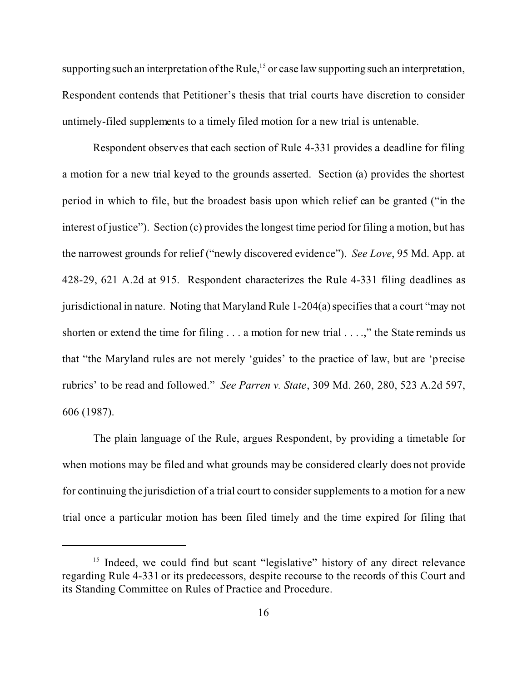supporting such an interpretation of the Rule,<sup>15</sup> or case law supporting such an interpretation, Respondent contends that Petitioner's thesis that trial courts have discretion to consider untimely-filed supplements to a timely filed motion for a new trial is untenable.

Respondent observes that each section of Rule 4-331 provides a deadline for filing a motion for a new trial keyed to the grounds asserted. Section (a) provides the shortest period in which to file, but the broadest basis upon which relief can be granted ("in the interest of justice"). Section (c) provides the longest time period for filing a motion, but has the narrowest grounds for relief ("newly discovered evidence"). *See Love*, 95 Md. App. at 428-29, 621 A.2d at 915. Respondent characterizes the Rule 4-331 filing deadlines as jurisdictional in nature. Noting that Maryland Rule 1-204(a) specifies that a court "may not shorten or extend the time for filing . . . a motion for new trial . . . .," the State reminds us that "the Maryland rules are not merely 'guides' to the practice of law, but are 'precise rubrics' to be read and followed." *See Parren v. State*, 309 Md. 260, 280, 523 A.2d 597, 606 (1987).

The plain language of the Rule, argues Respondent, by providing a timetable for when motions may be filed and what grounds may be considered clearly does not provide for continuing the jurisdiction of a trial court to consider supplements to a motion for a new trial once a particular motion has been filed timely and the time expired for filing that

<sup>&</sup>lt;sup>15</sup> Indeed, we could find but scant "legislative" history of any direct relevance regarding Rule 4-331 or its predecessors, despite recourse to the records of this Court and its Standing Committee on Rules of Practice and Procedure.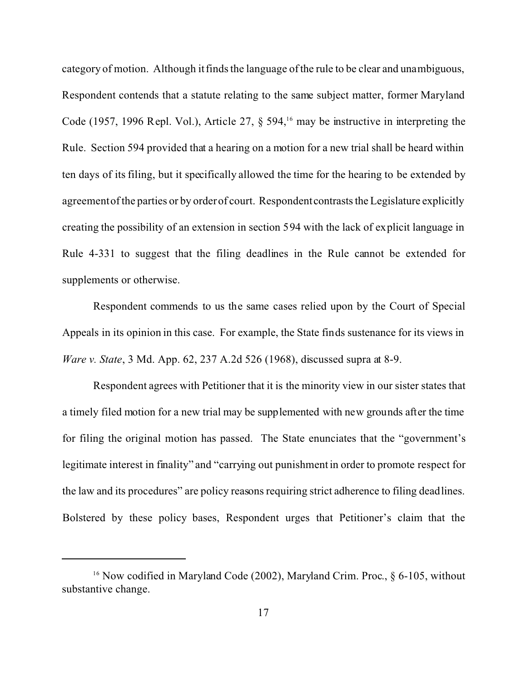category of motion. Although it finds the language of the rule to be clear and unambiguous, Respondent contends that a statute relating to the same subject matter, former Maryland Code (1957, 1996 Repl. Vol.), Article 27,  $\S$  594,<sup>16</sup> may be instructive in interpreting the Rule. Section 594 provided that a hearing on a motion for a new trial shall be heard within ten days of its filing, but it specifically allowed the time for the hearing to be extended by agreement of the parties or by order of court. Respondent contrasts the Legislature explicitly creating the possibility of an extension in section 594 with the lack of explicit language in Rule 4-331 to suggest that the filing deadlines in the Rule cannot be extended for supplements or otherwise.

Respondent commends to us the same cases relied upon by the Court of Special Appeals in its opinion in this case. For example, the State finds sustenance for its views in *Ware v. State*, 3 Md. App. 62, 237 A.2d 526 (1968), discussed supra at 8-9.

Respondent agrees with Petitioner that it is the minority view in our sister states that a timely filed motion for a new trial may be supplemented with new grounds after the time for filing the original motion has passed. The State enunciates that the "government's legitimate interest in finality" and "carrying out punishment in order to promote respect for the law and its procedures" are policy reasons requiring strict adherence to filing deadlines. Bolstered by these policy bases, Respondent urges that Petitioner's claim that the

<sup>&</sup>lt;sup>16</sup> Now codified in Maryland Code (2002), Maryland Crim. Proc., § 6-105, without substantive change.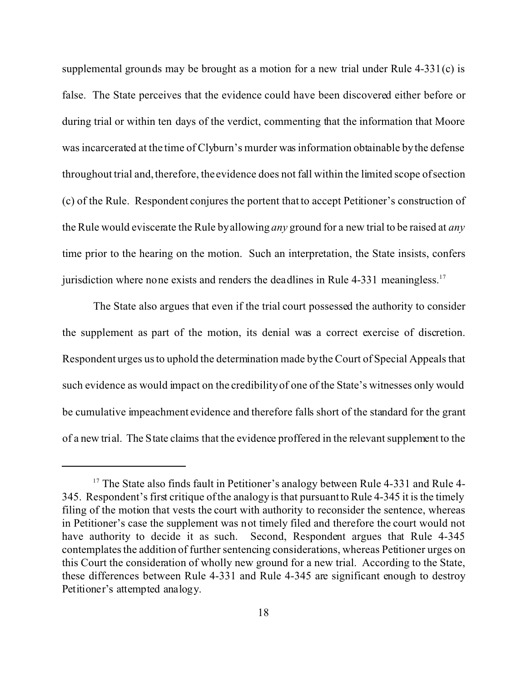supplemental grounds may be brought as a motion for a new trial under Rule 4-331(c) is false. The State perceives that the evidence could have been discovered either before or during trial or within ten days of the verdict, commenting that the information that Moore was incarcerated at the time of Clyburn's murder was information obtainable by the defense throughout trial and, therefore, the evidence does not fall within the limited scope of section (c) of the Rule. Respondent conjures the portent that to accept Petitioner's construction of the Rule would eviscerate the Rule by allowing *any* ground for a new trial to be raised at *any* time prior to the hearing on the motion. Such an interpretation, the State insists, confers jurisdiction where none exists and renders the deadlines in Rule 4-331 meaningless.<sup>17</sup>

The State also argues that even if the trial court possessed the authority to consider the supplement as part of the motion, its denial was a correct exercise of discretion. Respondent urges us to uphold the determination made by the Court of Special Appeals that such evidence as would impact on the credibility of one of the State's witnesses only would be cumulative impeachment evidence and therefore falls short of the standard for the grant of a new trial. The State claims that the evidence proffered in the relevant supplement to the

<sup>&</sup>lt;sup>17</sup> The State also finds fault in Petitioner's analogy between Rule 4-331 and Rule 4-345. Respondent's first critique of the analogy is that pursuant to Rule 4-345 it is the timely filing of the motion that vests the court with authority to reconsider the sentence, whereas in Petitioner's case the supplement was not timely filed and therefore the court would not have authority to decide it as such. Second, Respondent argues that Rule 4-345 contemplates the addition of further sentencing considerations, whereas Petitioner urges on this Court the consideration of wholly new ground for a new trial. According to the State, these differences between Rule 4-331 and Rule 4-345 are significant enough to destroy Petitioner's attempted analogy.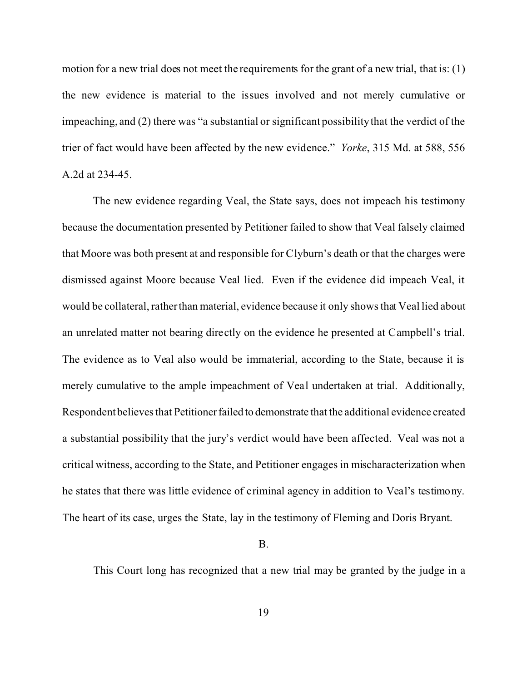motion for a new trial does not meet the requirements for the grant of a new trial, that is: (1) the new evidence is material to the issues involved and not merely cumulative or impeaching, and (2) there was "a substantial or significant possibility that the verdict of the trier of fact would have been affected by the new evidence." *Yorke*, 315 Md. at 588, 556 A.2d at 234-45.

The new evidence regarding Veal, the State says, does not impeach his testimony because the documentation presented by Petitioner failed to show that Veal falsely claimed that Moore was both present at and responsible for Clyburn's death or that the charges were dismissed against Moore because Veal lied. Even if the evidence did impeach Veal, it would be collateral, rather than material, evidence because it only shows that Veal lied about an unrelated matter not bearing directly on the evidence he presented at Campbell's trial. The evidence as to Veal also would be immaterial, according to the State, because it is merely cumulative to the ample impeachment of Veal undertaken at trial. Additionally, Respondent believes that Petitioner failed to demonstrate that the additional evidence created a substantial possibility that the jury's verdict would have been affected. Veal was not a critical witness, according to the State, and Petitioner engages in mischaracterization when he states that there was little evidence of criminal agency in addition to Veal's testimony. The heart of its case, urges the State, lay in the testimony of Fleming and Doris Bryant.

#### B.

This Court long has recognized that a new trial may be granted by the judge in a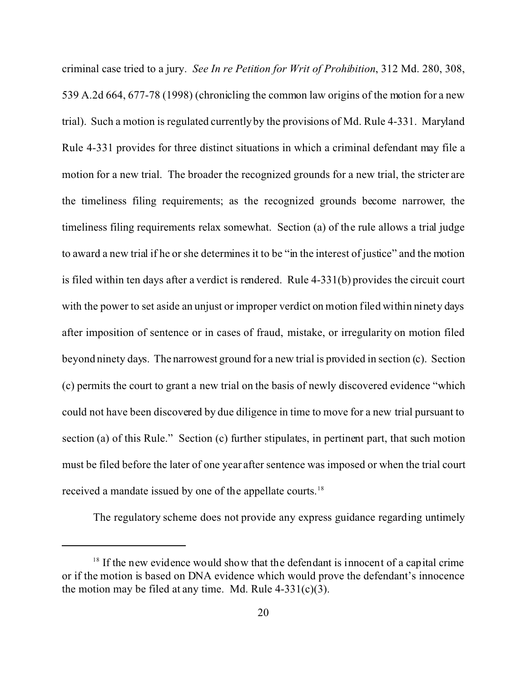criminal case tried to a jury. *See In re Petition for Writ of Prohibition*, 312 Md. 280, 308, 539 A.2d 664, 677-78 (1998) (chronicling the common law origins of the motion for a new trial). Such a motion is regulated currently by the provisions of Md. Rule 4-331. Maryland Rule 4-331 provides for three distinct situations in which a criminal defendant may file a motion for a new trial. The broader the recognized grounds for a new trial, the stricter are the timeliness filing requirements; as the recognized grounds become narrower, the timeliness filing requirements relax somewhat. Section (a) of the rule allows a trial judge to award a new trial if he or she determines it to be "in the interest of justice" and the motion is filed within ten days after a verdict is rendered. Rule 4-331(b) provides the circuit court with the power to set aside an unjust or improper verdict on motion filed within ninety days after imposition of sentence or in cases of fraud, mistake, or irregularity on motion filed beyond ninety days. The narrowest ground for a new trial is provided in section (c). Section (c) permits the court to grant a new trial on the basis of newly discovered evidence "which could not have been discovered by due diligence in time to move for a new trial pursuant to section (a) of this Rule." Section (c) further stipulates, in pertinent part, that such motion must be filed before the later of one year after sentence was imposed or when the trial court received a mandate issued by one of the appellate courts.<sup>18</sup>

The regulatory scheme does not provide any express guidance regarding untimely

 $18$  If the new evidence would show that the defendant is innocent of a capital crime or if the motion is based on DNA evidence which would prove the defendant's innocence the motion may be filed at any time. Md. Rule  $4-331(c)(3)$ .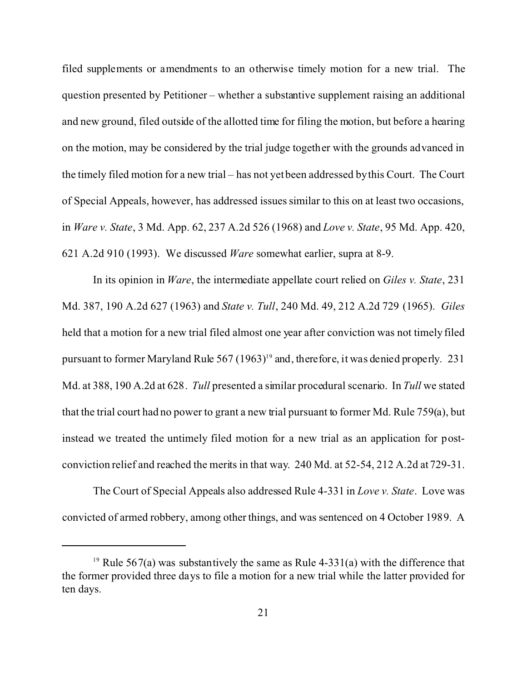filed supplements or amendments to an otherwise timely motion for a new trial. The question presented by Petitioner – whether a substantive supplement raising an additional and new ground, filed outside of the allotted time for filing the motion, but before a hearing on the motion, may be considered by the trial judge together with the grounds advanced in the timely filed motion for a new trial – has not yet been addressed by this Court. The Court of Special Appeals, however, has addressed issues similar to this on at least two occasions, in *Ware v. State*, 3 Md. App. 62, 237 A.2d 526 (1968) and *Love v. State*, 95 Md. App. 420, 621 A.2d 910 (1993). We discussed *Ware* somewhat earlier, supra at 8-9.

In its opinion in *Ware*, the intermediate appellate court relied on *Giles v. State*, 231 Md. 387, 190 A.2d 627 (1963) and *State v. Tull*, 240 Md. 49, 212 A.2d 729 (1965). *Giles* held that a motion for a new trial filed almost one year after conviction was not timely filed pursuant to former Maryland Rule  $567 (1963)^{19}$  and, therefore, it was denied properly. 231 Md. at 388, 190 A.2d at 628. *Tull* presented a similar procedural scenario. In *Tull* we stated that the trial court had no power to grant a new trial pursuant to former Md. Rule 759(a), but instead we treated the untimely filed motion for a new trial as an application for postconviction relief and reached the merits in that way. 240 Md. at 52-54, 212 A.2d at 729-31.

The Court of Special Appeals also addressed Rule 4-331 in *Love v. State*. Love was convicted of armed robbery, among other things, and was sentenced on 4 October 1989. A

<sup>&</sup>lt;sup>19</sup> Rule 567(a) was substantively the same as Rule 4-331(a) with the difference that the former provided three days to file a motion for a new trial while the latter provided for ten days.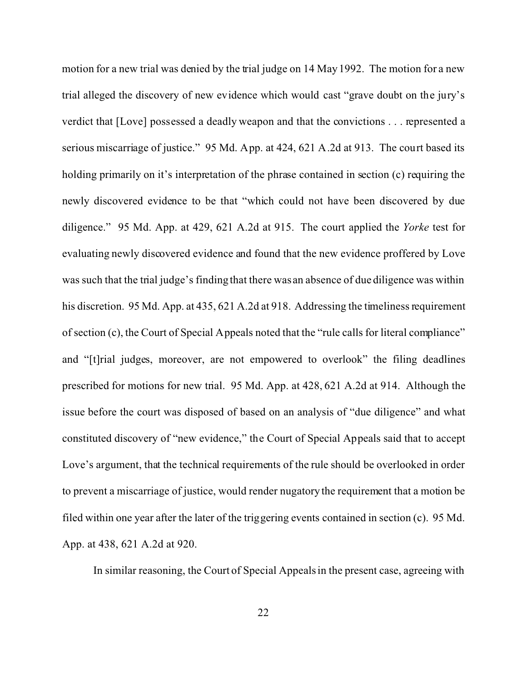motion for a new trial was denied by the trial judge on 14 May 1992. The motion for a new trial alleged the discovery of new evidence which would cast "grave doubt on the jury's verdict that [Love] possessed a deadly weapon and that the convictions . . . represented a serious miscarriage of justice." 95 Md. App. at 424, 621 A.2d at 913. The court based its holding primarily on it's interpretation of the phrase contained in section (c) requiring the newly discovered evidence to be that "which could not have been discovered by due diligence." 95 Md. App. at 429, 621 A.2d at 915. The court applied the *Yorke* test for evaluating newly discovered evidence and found that the new evidence proffered by Love was such that the trial judge's finding that there was an absence of due diligence was within his discretion. 95 Md. App. at 435, 621 A.2d at 918. Addressing the timeliness requirement of section (c), the Court of Special Appeals noted that the "rule calls for literal compliance" and "[t]rial judges, moreover, are not empowered to overlook" the filing deadlines prescribed for motions for new trial. 95 Md. App. at 428, 621 A.2d at 914. Although the issue before the court was disposed of based on an analysis of "due diligence" and what constituted discovery of "new evidence," the Court of Special Appeals said that to accept Love's argument, that the technical requirements of the rule should be overlooked in order to prevent a miscarriage of justice, would render nugatory the requirement that a motion be filed within one year after the later of the triggering events contained in section (c). 95 Md. App. at 438, 621 A.2d at 920.

In similar reasoning, the Court of Special Appeals in the present case, agreeing with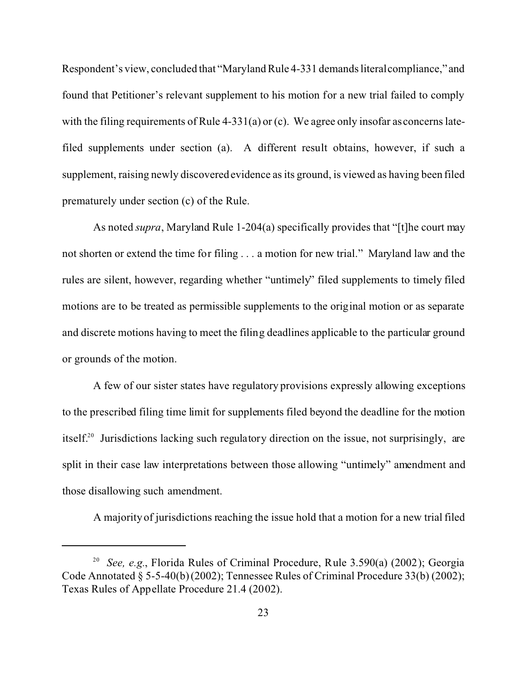Respondent's view, concluded that "Maryland Rule 4-331 demands literal compliance," and found that Petitioner's relevant supplement to his motion for a new trial failed to comply with the filing requirements of Rule 4-331(a) or (c). We agree only insofar as concerns latefiled supplements under section (a). A different result obtains, however, if such a supplement, raising newly discovered evidence as its ground, is viewed as having been filed prematurely under section (c) of the Rule.

As noted *supra*, Maryland Rule 1-204(a) specifically provides that "[t]he court may not shorten or extend the time for filing . . . a motion for new trial." Maryland law and the rules are silent, however, regarding whether "untimely" filed supplements to timely filed motions are to be treated as permissible supplements to the original motion or as separate and discrete motions having to meet the filing deadlines applicable to the particular ground or grounds of the motion.

A few of our sister states have regulatory provisions expressly allowing exceptions to the prescribed filing time limit for supplements filed beyond the deadline for the motion itself.<sup>20</sup> Jurisdictions lacking such regulatory direction on the issue, not surprisingly, are split in their case law interpretations between those allowing "untimely" amendment and those disallowing such amendment.

A majority of jurisdictions reaching the issue hold that a motion for a new trial filed

<sup>20</sup> *See, e.g.*, Florida Rules of Criminal Procedure, Rule 3.590(a) (2002); Georgia Code Annotated § 5-5-40(b) (2002); Tennessee Rules of Criminal Procedure 33(b) (2002); Texas Rules of Appellate Procedure 21.4 (2002).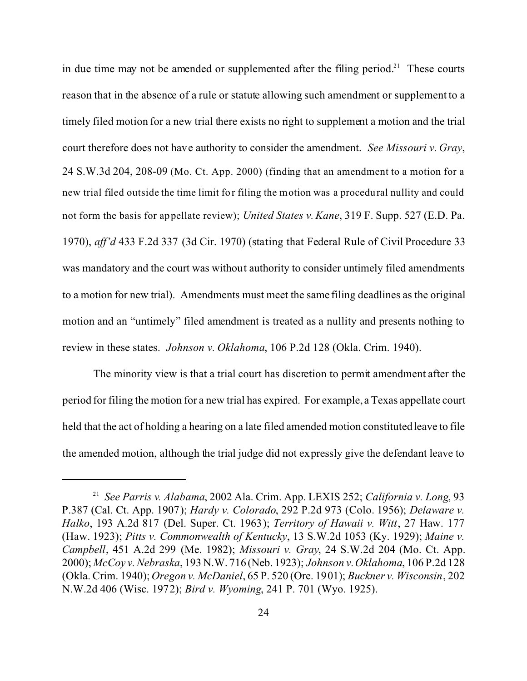in due time may not be amended or supplemented after the filing period.<sup>21</sup> These courts reason that in the absence of a rule or statute allowing such amendment or supplement to a timely filed motion for a new trial there exists no right to supplement a motion and the trial court therefore does not have authority to consider the amendment. *See Missouri v. Gray*, 24 S.W.3d 204, 208-09 (Mo. Ct. App. 2000) (finding that an amendment to a motion for a new trial filed outside the time limit for filing the motion was a procedural nullity and could not form the basis for appellate review); *United States v. Kane*, 319 F. Supp. 527 (E.D. Pa. 1970), *aff'd* 433 F.2d 337 (3d Cir. 1970) (stating that Federal Rule of Civil Procedure 33 was mandatory and the court was without authority to consider untimely filed amendments to a motion for new trial). Amendments must meet the same filing deadlines as the original motion and an "untimely" filed amendment is treated as a nullity and presents nothing to review in these states. *Johnson v. Oklahoma*, 106 P.2d 128 (Okla. Crim. 1940).

The minority view is that a trial court has discretion to permit amendment after the period for filing the motion for a new trial has expired. For example, a Texas appellate court held that the act of holding a hearing on a late filed amended motion constituted leave to file the amended motion, although the trial judge did not expressly give the defendant leave to

<sup>21</sup> *See Parris v. Alabama*, 2002 Ala. Crim. App. LEXIS 252; *California v. Long*, 93 P.387 (Cal. Ct. App. 1907); *Hardy v. Colorado*, 292 P.2d 973 (Colo. 1956); *Delaware v. Halko*, 193 A.2d 817 (Del. Super. Ct. 1963); *Territory of Hawaii v. Witt*, 27 Haw. 177 (Haw. 1923); *Pitts v. Commonwealth of Kentucky*, 13 S.W.2d 1053 (Ky. 1929); *Maine v. Campbell*, 451 A.2d 299 (Me. 1982); *Missouri v. Gray*, 24 S.W.2d 204 (Mo. Ct. App. 2000); *McCoy v. Nebraska*, 193 N.W. 716 (Neb. 1923); *Johnson v. Oklahoma*, 106 P.2d 128 (Okla. Crim. 1940); *Oregon v. McDaniel*, 65 P. 520 (Ore. 1901); *Buckner v. Wisconsin*, 202 N.W.2d 406 (Wisc. 1972); *Bird v. Wyoming*, 241 P. 701 (Wyo. 1925).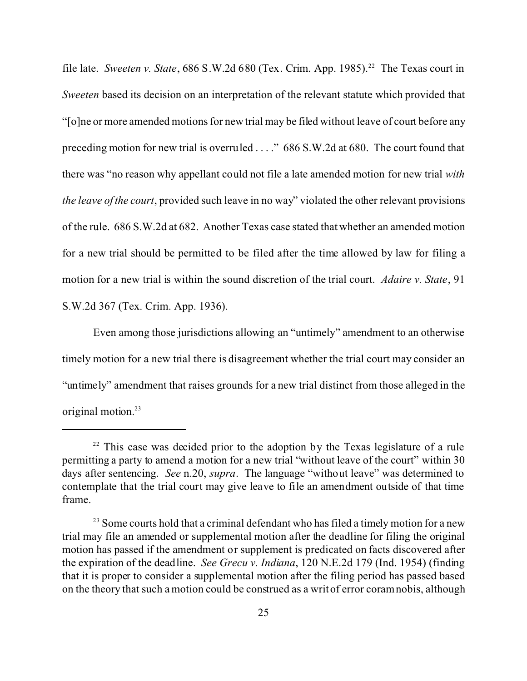file late. *Sweeten v. State*, 686 S.W.2d 680 (Tex. Crim. App. 1985).<sup>22</sup> The Texas court in *Sweeten* based its decision on an interpretation of the relevant statute which provided that "[o]ne or more amended motions for new trial may be filed without leave of court before any preceding motion for new trial is overruled . . . ." 686 S.W.2d at 680. The court found that there was "no reason why appellant could not file a late amended motion for new trial *with the leave of the court*, provided such leave in no way" violated the other relevant provisions of the rule. 686 S.W.2d at 682. Another Texas case stated that whether an amended motion for a new trial should be permitted to be filed after the time allowed by law for filing a motion for a new trial is within the sound discretion of the trial court. *Adaire v. State*, 91 S.W.2d 367 (Tex. Crim. App. 1936).

Even among those jurisdictions allowing an "untimely" amendment to an otherwise timely motion for a new trial there is disagreement whether the trial court may consider an "untimely" amendment that raises grounds for a new trial distinct from those alleged in the original motion.<sup>23</sup>

 $22$  This case was decided prior to the adoption by the Texas legislature of a rule permitting a party to amend a motion for a new trial "without leave of the court" within 30 days after sentencing. *See* n.20, *supra*. The language "without leave" was determined to contemplate that the trial court may give leave to file an amendment outside of that time frame.

<sup>&</sup>lt;sup>23</sup> Some courts hold that a criminal defendant who has filed a timely motion for a new trial may file an amended or supplemental motion after the deadline for filing the original motion has passed if the amendment or supplement is predicated on facts discovered after the expiration of the deadline. *See Grecu v. Indiana*, 120 N.E.2d 179 (Ind. 1954) (finding that it is proper to consider a supplemental motion after the filing period has passed based on the theory that such a motion could be construed as a writ of error coram nobis, although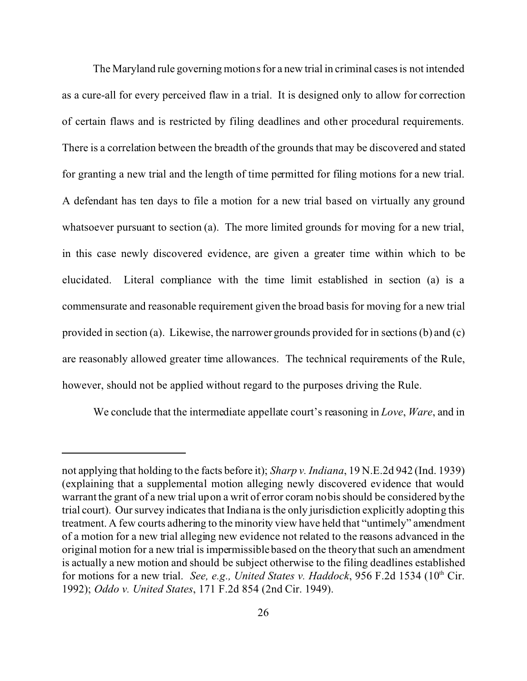The Maryland rule governing motions for a new trial in criminal cases is not intended as a cure-all for every perceived flaw in a trial. It is designed only to allow for correction of certain flaws and is restricted by filing deadlines and other procedural requirements. There is a correlation between the breadth of the grounds that may be discovered and stated for granting a new trial and the length of time permitted for filing motions for a new trial. A defendant has ten days to file a motion for a new trial based on virtually any ground whatsoever pursuant to section (a). The more limited grounds for moving for a new trial, in this case newly discovered evidence, are given a greater time within which to be elucidated. Literal compliance with the time limit established in section (a) is a commensurate and reasonable requirement given the broad basis for moving for a new trial provided in section (a). Likewise, the narrower grounds provided for in sections (b) and (c) are reasonably allowed greater time allowances. The technical requirements of the Rule, however, should not be applied without regard to the purposes driving the Rule.

We conclude that the intermediate appellate court's reasoning in *Love*, *Ware*, and in

not applying that holding to the facts before it); *Sharp v. Indiana*, 19 N.E.2d 942 (Ind. 1939) (explaining that a supplemental motion alleging newly discovered evidence that would warrant the grant of a new trial upon a writ of error coram nobis should be considered by the trial court). Our survey indicates that Indiana is the only jurisdiction explicitly adopting this treatment. A few courts adhering to the minority view have held that "untimely" amendment of a motion for a new trial alleging new evidence not related to the reasons advanced in the original motion for a new trial is impermissible based on the theory that such an amendment is actually a new motion and should be subject otherwise to the filing deadlines established for motions for a new trial. *See, e.g., United States v. Haddock*, 956 F.2d 1534 (10<sup>th</sup> Cir. 1992); *Oddo v. United States*, 171 F.2d 854 (2nd Cir. 1949).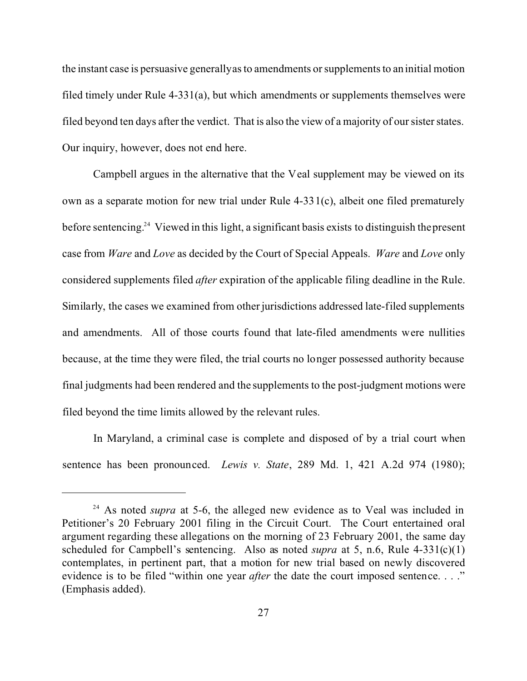the instant case is persuasive generally as to amendments or supplements to an initial motion filed timely under Rule 4-331(a), but which amendments or supplements themselves were filed beyond ten days after the verdict. That is also the view of a majority of our sister states. Our inquiry, however, does not end here.

Campbell argues in the alternative that the Veal supplement may be viewed on its own as a separate motion for new trial under Rule 4-331(c), albeit one filed prematurely before sentencing.<sup>24</sup> Viewed in this light, a significant basis exists to distinguish the present case from *Ware* and *Love* as decided by the Court of Special Appeals. *Ware* and *Love* only considered supplements filed *after* expiration of the applicable filing deadline in the Rule. Similarly, the cases we examined from other jurisdictions addressed late-filed supplements and amendments. All of those courts found that late-filed amendments were nullities because, at the time they were filed, the trial courts no longer possessed authority because final judgments had been rendered and the supplements to the post-judgment motions were filed beyond the time limits allowed by the relevant rules.

In Maryland, a criminal case is complete and disposed of by a trial court when sentence has been pronounced. *Lewis v. State*, 289 Md. 1, 421 A.2d 974 (1980);

<sup>&</sup>lt;sup>24</sup> As noted *supra* at 5-6, the alleged new evidence as to Veal was included in Petitioner's 20 February 2001 filing in the Circuit Court. The Court entertained oral argument regarding these allegations on the morning of 23 February 2001, the same day scheduled for Campbell's sentencing. Also as noted *supra* at 5, n.6, Rule 4-331(c)(1) contemplates, in pertinent part, that a motion for new trial based on newly discovered evidence is to be filed "within one year *after* the date the court imposed sentence. . . ." (Emphasis added).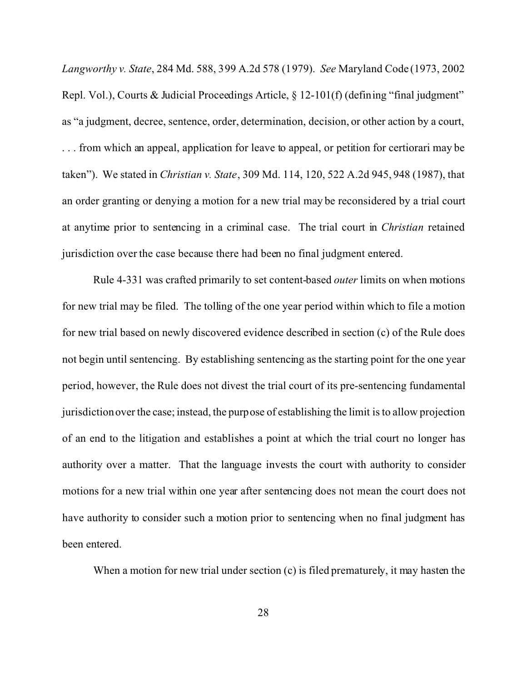*Langworthy v. State*, 284 Md. 588, 399 A.2d 578 (1979). *See* Maryland Code (1973, 2002 Repl. Vol.), Courts & Judicial Proceedings Article, § 12-101(f) (defining "final judgment" as "a judgment, decree, sentence, order, determination, decision, or other action by a court, . . . from which an appeal, application for leave to appeal, or petition for certiorari may be taken"). We stated in *Christian v. State*, 309 Md. 114, 120, 522 A.2d 945, 948 (1987), that an order granting or denying a motion for a new trial may be reconsidered by a trial court at anytime prior to sentencing in a criminal case. The trial court in *Christian* retained jurisdiction over the case because there had been no final judgment entered.

Rule 4-331 was crafted primarily to set content-based *outer* limits on when motions for new trial may be filed. The tolling of the one year period within which to file a motion for new trial based on newly discovered evidence described in section (c) of the Rule does not begin until sentencing. By establishing sentencing as the starting point for the one year period, however, the Rule does not divest the trial court of its pre-sentencing fundamental jurisdiction over the case; instead, the purpose of establishing the limit is to allow projection of an end to the litigation and establishes a point at which the trial court no longer has authority over a matter. That the language invests the court with authority to consider motions for a new trial within one year after sentencing does not mean the court does not have authority to consider such a motion prior to sentencing when no final judgment has been entered.

When a motion for new trial under section (c) is filed prematurely, it may hasten the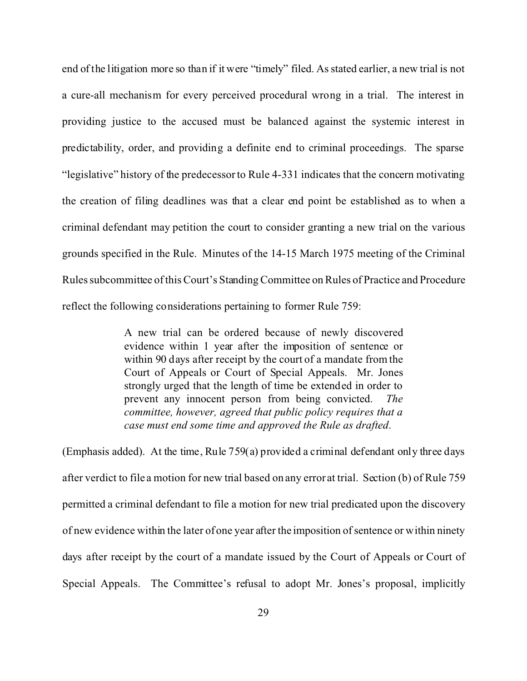end of the litigation more so than if it were "timely" filed. As stated earlier, a new trial is not a cure-all mechanism for every perceived procedural wrong in a trial. The interest in providing justice to the accused must be balanced against the systemic interest in predictability, order, and providing a definite end to criminal proceedings. The sparse "legislative" history of the predecessor to Rule 4-331 indicates that the concern motivating the creation of filing deadlines was that a clear end point be established as to when a criminal defendant may petition the court to consider granting a new trial on the various grounds specified in the Rule. Minutes of the 14-15 March 1975 meeting of the Criminal Rules subcommittee of this Court's Standing Committee on Rules of Practice and Procedure reflect the following considerations pertaining to former Rule 759:

> A new trial can be ordered because of newly discovered evidence within 1 year after the imposition of sentence or within 90 days after receipt by the court of a mandate from the Court of Appeals or Court of Special Appeals. Mr. Jones strongly urged that the length of time be extended in order to prevent any innocent person from being convicted. *The committee, however, agreed that public policy requires that a case must end some time and approved the Rule as drafted*.

(Emphasis added). At the time, Rule 759(a) provided a criminal defendant only three days after verdict to file a motion for new trial based on any error at trial. Section (b) of Rule 759 permitted a criminal defendant to file a motion for new trial predicated upon the discovery of new evidence within the later of one year after the imposition of sentence or within ninety days after receipt by the court of a mandate issued by the Court of Appeals or Court of Special Appeals. The Committee's refusal to adopt Mr. Jones's proposal, implicitly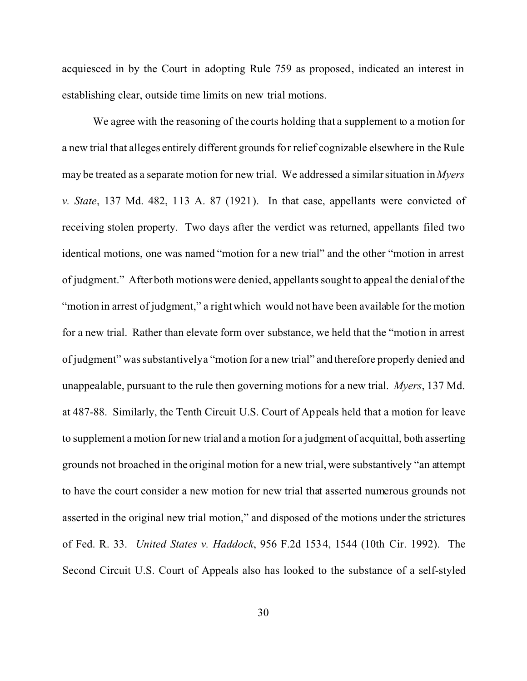acquiesced in by the Court in adopting Rule 759 as proposed, indicated an interest in establishing clear, outside time limits on new trial motions.

We agree with the reasoning of the courts holding that a supplement to a motion for a new trial that alleges entirely different grounds for relief cognizable elsewhere in the Rule may be treated as a separate motion for new trial. We addressed a similar situation in *Myers v. State*, 137 Md. 482, 113 A. 87 (1921). In that case, appellants were convicted of receiving stolen property. Two days after the verdict was returned, appellants filed two identical motions, one was named "motion for a new trial" and the other "motion in arrest of judgment." After both motions were denied, appellants sought to appeal the denial of the "motion in arrest of judgment," a right which would not have been available for the motion for a new trial. Rather than elevate form over substance, we held that the "motion in arrest of judgment" was substantively a "motion for a new trial" and therefore properly denied and unappealable, pursuant to the rule then governing motions for a new trial. *Myers*, 137 Md. at 487-88. Similarly, the Tenth Circuit U.S. Court of Appeals held that a motion for leave to supplement a motion for new trial and a motion for a judgment of acquittal, both asserting grounds not broached in the original motion for a new trial, were substantively "an attempt to have the court consider a new motion for new trial that asserted numerous grounds not asserted in the original new trial motion," and disposed of the motions under the strictures of Fed. R. 33. *United States v. Haddock*, 956 F.2d 1534, 1544 (10th Cir. 1992). The Second Circuit U.S. Court of Appeals also has looked to the substance of a self-styled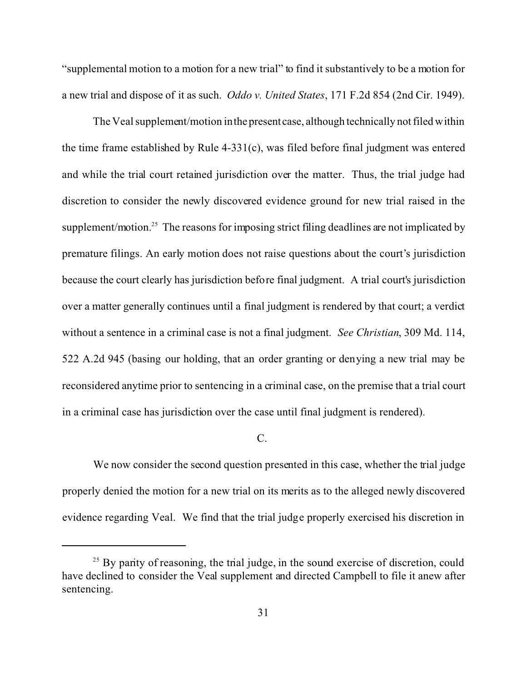"supplemental motion to a motion for a new trial" to find it substantively to be a motion for a new trial and dispose of it as such. *Oddo v. United States*, 171 F.2d 854 (2nd Cir. 1949).

The Veal supplement/motion in the present case, although technically not filed within the time frame established by Rule 4-331(c), was filed before final judgment was entered and while the trial court retained jurisdiction over the matter. Thus, the trial judge had discretion to consider the newly discovered evidence ground for new trial raised in the supplement/motion.<sup>25</sup> The reasons for imposing strict filing deadlines are not implicated by premature filings. An early motion does not raise questions about the court's jurisdiction because the court clearly has jurisdiction before final judgment. A trial court's jurisdiction over a matter generally continues until a final judgment is rendered by that court; a verdict without a sentence in a criminal case is not a final judgment. *See Christian*, 309 Md. 114, 522 A.2d 945 (basing our holding, that an order granting or denying a new trial may be reconsidered anytime prior to sentencing in a criminal case, on the premise that a trial court in a criminal case has jurisdiction over the case until final judgment is rendered).

### C.

We now consider the second question presented in this case, whether the trial judge properly denied the motion for a new trial on its merits as to the alleged newly discovered evidence regarding Veal. We find that the trial judge properly exercised his discretion in

 $25$  By parity of reasoning, the trial judge, in the sound exercise of discretion, could have declined to consider the Veal supplement and directed Campbell to file it anew after sentencing.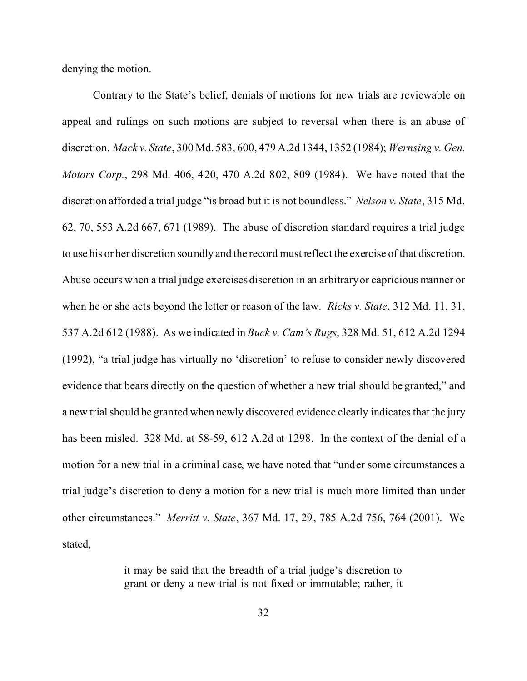denying the motion.

Contrary to the State's belief, denials of motions for new trials are reviewable on appeal and rulings on such motions are subject to reversal when there is an abuse of discretion. *Mack v. State*, 300 Md. 583, 600, 479 A.2d 1344, 1352 (1984); *Wernsing v. Gen. Motors Corp.*, 298 Md. 406, 420, 470 A.2d 802, 809 (1984). We have noted that the discretion afforded a trial judge "is broad but it is not boundless." *Nelson v. State*, 315 Md. 62, 70, 553 A.2d 667, 671 (1989). The abuse of discretion standard requires a trial judge to use his or her discretion soundly and the record must reflect the exercise of that discretion. Abuse occurs when a trial judge exercises discretion in an arbitrary or capricious manner or when he or she acts beyond the letter or reason of the law. *Ricks v. State*, 312 Md. 11, 31, 537 A.2d 612 (1988). As we indicated in *Buck v. Cam's Rugs*, 328 Md. 51, 612 A.2d 1294 (1992), "a trial judge has virtually no 'discretion' to refuse to consider newly discovered evidence that bears directly on the question of whether a new trial should be granted," and a new trial should be granted when newly discovered evidence clearly indicates that the jury has been misled. 328 Md. at 58-59, 612 A.2d at 1298. In the context of the denial of a motion for a new trial in a criminal case, we have noted that "under some circumstances a trial judge's discretion to deny a motion for a new trial is much more limited than under other circumstances." *Merritt v. State*, 367 Md. 17, 29, 785 A.2d 756, 764 (2001). We stated,

> it may be said that the breadth of a trial judge's discretion to grant or deny a new trial is not fixed or immutable; rather, it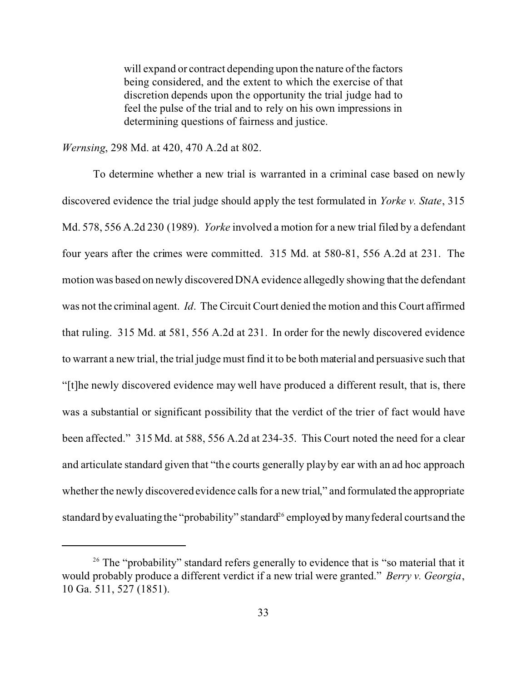will expand or contract depending upon the nature of the factors being considered, and the extent to which the exercise of that discretion depends upon the opportunity the trial judge had to feel the pulse of the trial and to rely on his own impressions in determining questions of fairness and justice.

*Wernsing*, 298 Md. at 420, 470 A.2d at 802.

To determine whether a new trial is warranted in a criminal case based on newly discovered evidence the trial judge should apply the test formulated in *Yorke v. State*, 315 Md. 578, 556 A.2d 230 (1989). *Yorke* involved a motion for a new trial filed by a defendant four years after the crimes were committed. 315 Md. at 580-81, 556 A.2d at 231. The motion was based on newly discovered DNA evidence allegedly showing that the defendant was not the criminal agent. *Id*. The Circuit Court denied the motion and this Court affirmed that ruling. 315 Md. at 581, 556 A.2d at 231. In order for the newly discovered evidence to warrant a new trial, the trial judge must find it to be both material and persuasive such that "[t]he newly discovered evidence may well have produced a different result, that is, there was a substantial or significant possibility that the verdict of the trier of fact would have been affected." 315 Md. at 588, 556 A.2d at 234-35. This Court noted the need for a clear and articulate standard given that "the courts generally play by ear with an ad hoc approach whether the newly discovered evidence calls for a new trial," and formulated the appropriate standard by evaluating the "probability" standard<sup>26</sup> employed by many federal courts and the

<sup>&</sup>lt;sup>26</sup> The "probability" standard refers generally to evidence that is "so material that it would probably produce a different verdict if a new trial were granted." *Berry v. Georgia*, 10 Ga. 511, 527 (1851).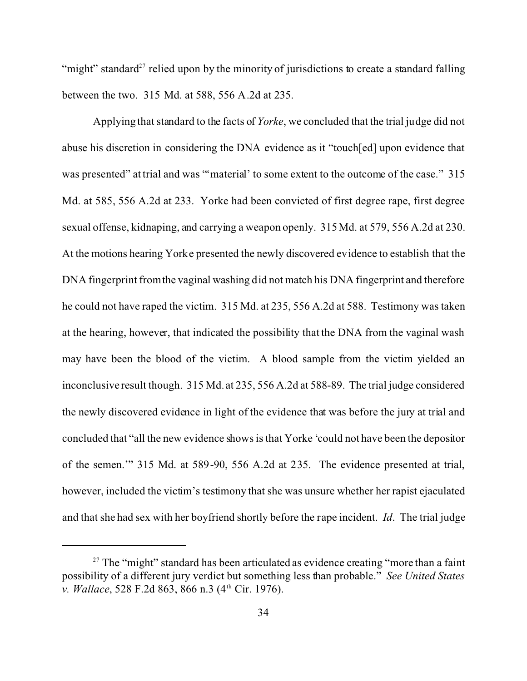"might" standard<sup>27</sup> relied upon by the minority of jurisdictions to create a standard falling between the two. 315 Md. at 588, 556 A.2d at 235.

Applying that standard to the facts of *Yorke*, we concluded that the trial judge did not abuse his discretion in considering the DNA evidence as it "touch[ed] upon evidence that was presented" at trial and was ""material" to some extent to the outcome of the case." 315 Md. at 585, 556 A.2d at 233. Yorke had been convicted of first degree rape, first degree sexual offense, kidnaping, and carrying a weapon openly. 315 Md. at 579, 556 A.2d at 230. At the motions hearing Yorke presented the newly discovered evidence to establish that the DNA fingerprint from the vaginal washing did not match his DNA fingerprint and therefore he could not have raped the victim. 315 Md. at 235, 556 A.2d at 588. Testimony was taken at the hearing, however, that indicated the possibility that the DNA from the vaginal wash may have been the blood of the victim. A blood sample from the victim yielded an inconclusive result though. 315 Md. at 235, 556 A.2d at 588-89. The trial judge considered the newly discovered evidence in light of the evidence that was before the jury at trial and concluded that "all the new evidence shows is that Yorke 'could not have been the depositor of the semen.'" 315 Md. at 589-90, 556 A.2d at 235. The evidence presented at trial, however, included the victim's testimony that she was unsure whether her rapist ejaculated and that she had sex with her boyfriend shortly before the rape incident. *Id*. The trial judge

 $27$  The "might" standard has been articulated as evidence creating "more than a faint possibility of a different jury verdict but something less than probable." *See United States v. Wallace*, 528 F.2d 863, 866 n.3 (4<sup>th</sup> Cir. 1976).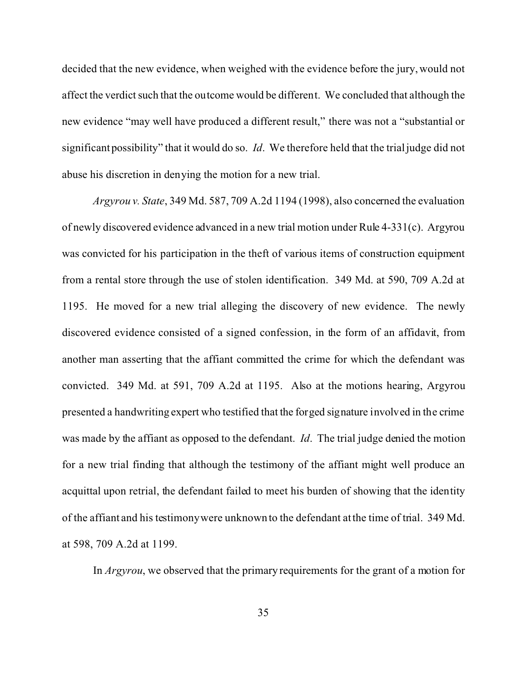decided that the new evidence, when weighed with the evidence before the jury, would not affect the verdict such that the outcome would be different. We concluded that although the new evidence "may well have produced a different result," there was not a "substantial or significant possibility" that it would do so. *Id*. We therefore held that the trial judge did not abuse his discretion in denying the motion for a new trial.

*Argyrou v. State*, 349 Md. 587, 709 A.2d 1194 (1998), also concerned the evaluation of newly discovered evidence advanced in a new trial motion under Rule 4-331(c). Argyrou was convicted for his participation in the theft of various items of construction equipment from a rental store through the use of stolen identification. 349 Md. at 590, 709 A.2d at 1195. He moved for a new trial alleging the discovery of new evidence. The newly discovered evidence consisted of a signed confession, in the form of an affidavit, from another man asserting that the affiant committed the crime for which the defendant was convicted. 349 Md. at 591, 709 A.2d at 1195. Also at the motions hearing, Argyrou presented a handwriting expert who testified that the forged signature involved in the crime was made by the affiant as opposed to the defendant. *Id*. The trial judge denied the motion for a new trial finding that although the testimony of the affiant might well produce an acquittal upon retrial, the defendant failed to meet his burden of showing that the identity of the affiant and his testimony were unknown to the defendant at the time of trial. 349 Md. at 598, 709 A.2d at 1199.

In *Argyrou*, we observed that the primary requirements for the grant of a motion for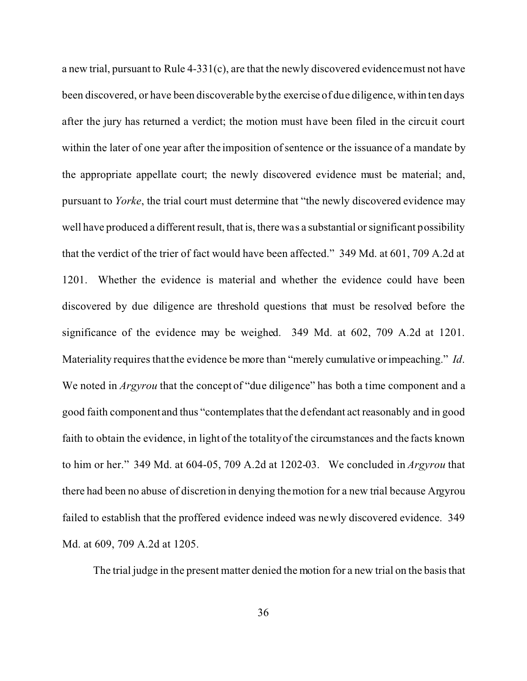a new trial, pursuant to Rule 4-331(c), are that the newly discovered evidence must not have been discovered, or have been discoverable by the exercise of due diligence, within ten days after the jury has returned a verdict; the motion must have been filed in the circuit court within the later of one year after the imposition of sentence or the issuance of a mandate by the appropriate appellate court; the newly discovered evidence must be material; and, pursuant to *Yorke*, the trial court must determine that "the newly discovered evidence may well have produced a different result, that is, there was a substantial or significant possibility that the verdict of the trier of fact would have been affected." 349 Md. at 601, 709 A.2d at 1201. Whether the evidence is material and whether the evidence could have been discovered by due diligence are threshold questions that must be resolved before the significance of the evidence may be weighed. 349 Md. at 602, 709 A.2d at 1201. Materiality requires that the evidence be more than "merely cumulative or impeaching." *Id*. We noted in *Argyrou* that the concept of "due diligence" has both a time component and a good faith component and thus "contemplates that the defendant act reasonably and in good faith to obtain the evidence, in light of the totality of the circumstances and the facts known to him or her." 349 Md. at 604-05, 709 A.2d at 1202-03. We concluded in *Argyrou* that there had been no abuse of discretion in denying the motion for a new trial because Argyrou failed to establish that the proffered evidence indeed was newly discovered evidence. 349 Md. at 609, 709 A.2d at 1205.

The trial judge in the present matter denied the motion for a new trial on the basis that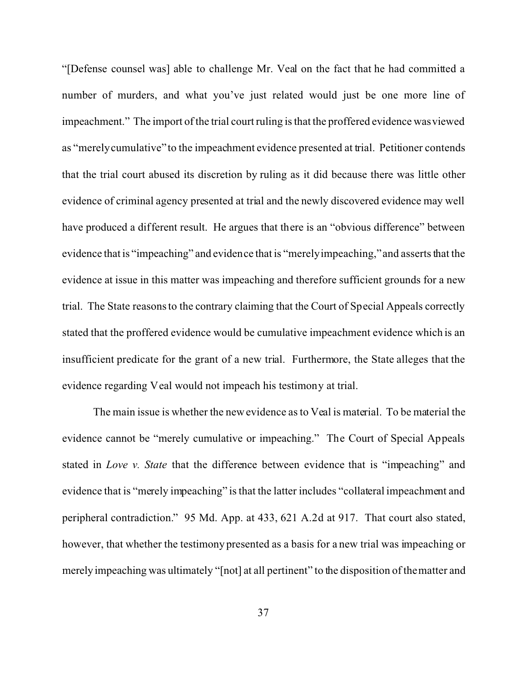"[Defense counsel was] able to challenge Mr. Veal on the fact that he had committed a number of murders, and what you've just related would just be one more line of impeachment." The import of the trial court ruling is that the proffered evidence was viewed as "merely cumulative" to the impeachment evidence presented at trial. Petitioner contends that the trial court abused its discretion by ruling as it did because there was little other evidence of criminal agency presented at trial and the newly discovered evidence may well have produced a different result. He argues that there is an "obvious difference" between evidence that is "impeaching" and evidence that is "merely impeaching," and asserts that the evidence at issue in this matter was impeaching and therefore sufficient grounds for a new trial. The State reasons to the contrary claiming that the Court of Special Appeals correctly stated that the proffered evidence would be cumulative impeachment evidence which is an insufficient predicate for the grant of a new trial. Furthermore, the State alleges that the evidence regarding Veal would not impeach his testimony at trial.

The main issue is whether the new evidence as to Veal is material. To be material the evidence cannot be "merely cumulative or impeaching." The Court of Special Appeals stated in *Love v. State* that the difference between evidence that is "impeaching" and evidence that is "merely impeaching" is that the latter includes "collateral impeachment and peripheral contradiction." 95 Md. App. at 433, 621 A.2d at 917. That court also stated, however, that whether the testimony presented as a basis for a new trial was impeaching or merely impeaching was ultimately "[not] at all pertinent" to the disposition of the matter and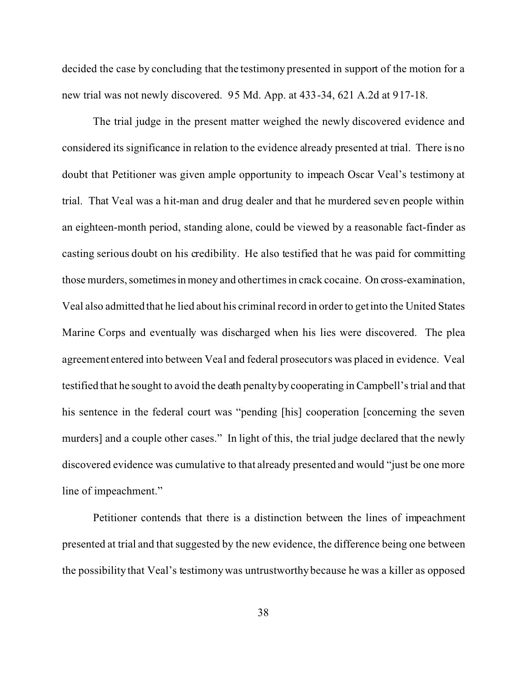decided the case by concluding that the testimony presented in support of the motion for a new trial was not newly discovered. 95 Md. App. at 433-34, 621 A.2d at 917-18.

The trial judge in the present matter weighed the newly discovered evidence and considered its significance in relation to the evidence already presented at trial. There is no doubt that Petitioner was given ample opportunity to impeach Oscar Veal's testimony at trial. That Veal was a hit-man and drug dealer and that he murdered seven people within an eighteen-month period, standing alone, could be viewed by a reasonable fact-finder as casting serious doubt on his credibility. He also testified that he was paid for committing those murders, sometimes in money and other times in crack cocaine. On cross-examination, Veal also admitted that he lied about his criminal record in order to get into the United States Marine Corps and eventually was discharged when his lies were discovered. The plea agreement entered into between Veal and federal prosecutors was placed in evidence. Veal testified that he sought to avoid the death penalty by cooperating in Campbell's trial and that his sentence in the federal court was "pending [his] cooperation [concerning the seven murders] and a couple other cases." In light of this, the trial judge declared that the newly discovered evidence was cumulative to that already presented and would "just be one more line of impeachment."

Petitioner contends that there is a distinction between the lines of impeachment presented at trial and that suggested by the new evidence, the difference being one between the possibility that Veal's testimony was untrustworthy because he was a killer as opposed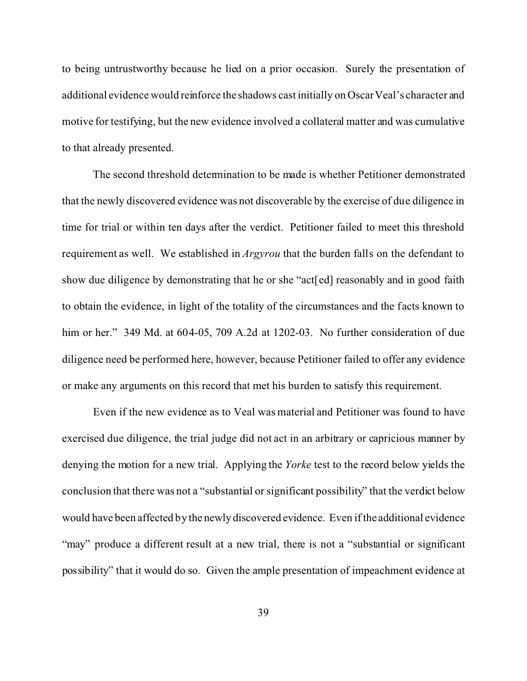to being untrustworthy because he lied on a prior occasion. Surely the presentation of additional evidence would reinforce the shadows cast initially on Oscar Veal's character and motive for testifying, but the new evidence involved a collateral matter and was cumulative to that already presented.

The second threshold determination to be made is whether Petitioner demonstrated that the newly discovered evidence was not discoverable by the exercise of due diligence in time for trial or within ten days after the verdict. Petitioner failed to meet this threshold requirement as well. We established in *Argyrou* that the burden falls on the defendant to show due diligence by demonstrating that he or she "act[ed] reasonably and in good faith to obtain the evidence, in light of the totality of the circumstances and the facts known to him or her." 349 Md. at 604-05, 709 A.2d at 1202-03. No further consideration of due diligence need be performed here, however, because Petitioner failed to offer any evidence or make any arguments on this record that met his burden to satisfy this requirement.

Even if the new evidence as to Veal was material and Petitioner was found to have exercised due diligence, the trial judge did not act in an arbitrary or capricious manner by denying the motion for a new trial. Applying the *Yorke* test to the record below yields the conclusion that there was not a "substantial or significant possibility" that the verdict below would have been affected by the newly discovered evidence. Even if the additional evidence "may" produce a different result at a new trial, there is not a "substantial or significant" possibility" that it would do so. Given the ample presentation of impeachment evidence at